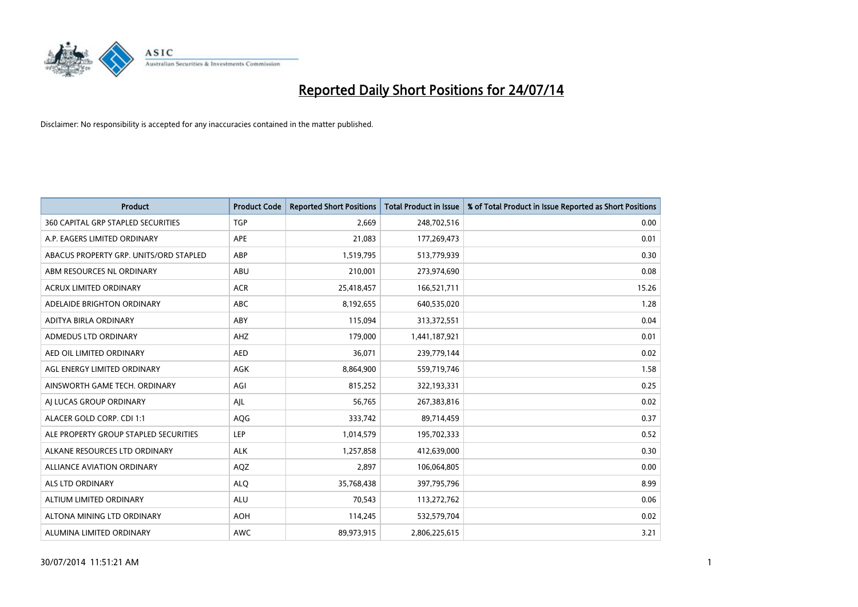

| <b>Product</b>                            | <b>Product Code</b> | <b>Reported Short Positions</b> | <b>Total Product in Issue</b> | % of Total Product in Issue Reported as Short Positions |
|-------------------------------------------|---------------------|---------------------------------|-------------------------------|---------------------------------------------------------|
| <b>360 CAPITAL GRP STAPLED SECURITIES</b> | <b>TGP</b>          | 2,669                           | 248,702,516                   | 0.00                                                    |
| A.P. EAGERS LIMITED ORDINARY              | APE                 | 21,083                          | 177,269,473                   | 0.01                                                    |
| ABACUS PROPERTY GRP. UNITS/ORD STAPLED    | ABP                 | 1,519,795                       | 513,779,939                   | 0.30                                                    |
| ABM RESOURCES NL ORDINARY                 | ABU                 | 210,001                         | 273,974,690                   | 0.08                                                    |
| <b>ACRUX LIMITED ORDINARY</b>             | <b>ACR</b>          | 25,418,457                      | 166,521,711                   | 15.26                                                   |
| ADELAIDE BRIGHTON ORDINARY                | <b>ABC</b>          | 8,192,655                       | 640,535,020                   | 1.28                                                    |
| ADITYA BIRLA ORDINARY                     | ABY                 | 115,094                         | 313,372,551                   | 0.04                                                    |
| ADMEDUS LTD ORDINARY                      | AHZ                 | 179,000                         | 1,441,187,921                 | 0.01                                                    |
| AED OIL LIMITED ORDINARY                  | <b>AED</b>          | 36,071                          | 239,779,144                   | 0.02                                                    |
| AGL ENERGY LIMITED ORDINARY               | <b>AGK</b>          | 8,864,900                       | 559,719,746                   | 1.58                                                    |
| AINSWORTH GAME TECH. ORDINARY             | AGI                 | 815,252                         | 322,193,331                   | 0.25                                                    |
| AI LUCAS GROUP ORDINARY                   | AJL                 | 56,765                          | 267,383,816                   | 0.02                                                    |
| ALACER GOLD CORP. CDI 1:1                 | AQG                 | 333,742                         | 89,714,459                    | 0.37                                                    |
| ALE PROPERTY GROUP STAPLED SECURITIES     | LEP                 | 1,014,579                       | 195,702,333                   | 0.52                                                    |
| ALKANE RESOURCES LTD ORDINARY             | <b>ALK</b>          | 1,257,858                       | 412,639,000                   | 0.30                                                    |
| ALLIANCE AVIATION ORDINARY                | AQZ                 | 2,897                           | 106,064,805                   | 0.00                                                    |
| ALS LTD ORDINARY                          | <b>ALQ</b>          | 35,768,438                      | 397,795,796                   | 8.99                                                    |
| ALTIUM LIMITED ORDINARY                   | ALU                 | 70,543                          | 113,272,762                   | 0.06                                                    |
| ALTONA MINING LTD ORDINARY                | <b>AOH</b>          | 114,245                         | 532,579,704                   | 0.02                                                    |
| ALUMINA LIMITED ORDINARY                  | <b>AWC</b>          | 89,973,915                      | 2,806,225,615                 | 3.21                                                    |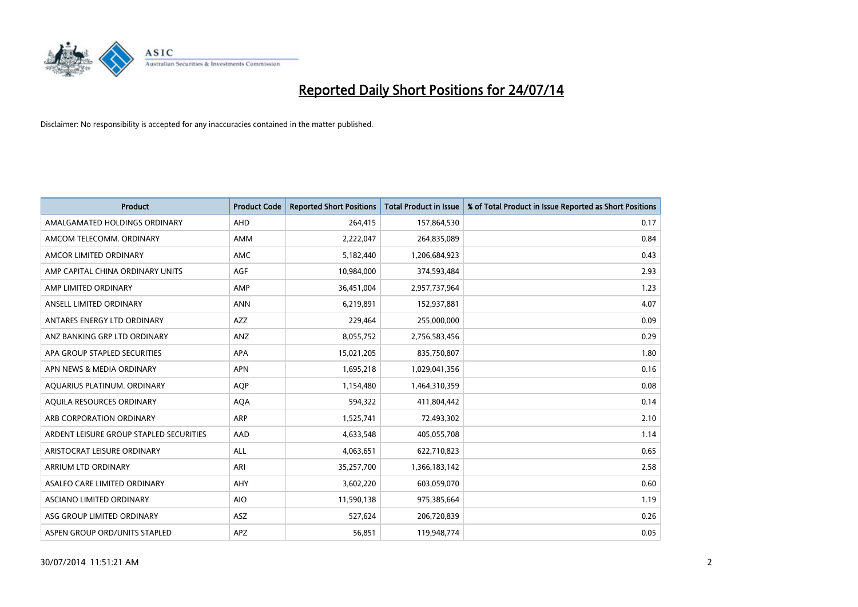

| <b>Product</b>                          | <b>Product Code</b> | <b>Reported Short Positions</b> | <b>Total Product in Issue</b> | % of Total Product in Issue Reported as Short Positions |
|-----------------------------------------|---------------------|---------------------------------|-------------------------------|---------------------------------------------------------|
| AMALGAMATED HOLDINGS ORDINARY           | AHD                 | 264,415                         | 157,864,530                   | 0.17                                                    |
| AMCOM TELECOMM. ORDINARY                | AMM                 | 2,222,047                       | 264,835,089                   | 0.84                                                    |
| AMCOR LIMITED ORDINARY                  | AMC                 | 5,182,440                       | 1,206,684,923                 | 0.43                                                    |
| AMP CAPITAL CHINA ORDINARY UNITS        | AGF                 | 10,984,000                      | 374,593,484                   | 2.93                                                    |
| AMP LIMITED ORDINARY                    | AMP                 | 36,451,004                      | 2,957,737,964                 | 1.23                                                    |
| ANSELL LIMITED ORDINARY                 | <b>ANN</b>          | 6,219,891                       | 152,937,881                   | 4.07                                                    |
| ANTARES ENERGY LTD ORDINARY             | AZZ                 | 229,464                         | 255,000,000                   | 0.09                                                    |
| ANZ BANKING GRP LTD ORDINARY            | ANZ                 | 8,055,752                       | 2,756,583,456                 | 0.29                                                    |
| APA GROUP STAPLED SECURITIES            | APA                 | 15,021,205                      | 835,750,807                   | 1.80                                                    |
| APN NEWS & MEDIA ORDINARY               | <b>APN</b>          | 1,695,218                       | 1,029,041,356                 | 0.16                                                    |
| AQUARIUS PLATINUM. ORDINARY             | <b>AQP</b>          | 1,154,480                       | 1,464,310,359                 | 0.08                                                    |
| AQUILA RESOURCES ORDINARY               | <b>AQA</b>          | 594,322                         | 411,804,442                   | 0.14                                                    |
| ARB CORPORATION ORDINARY                | ARP                 | 1,525,741                       | 72,493,302                    | 2.10                                                    |
| ARDENT LEISURE GROUP STAPLED SECURITIES | AAD                 | 4,633,548                       | 405,055,708                   | 1.14                                                    |
| ARISTOCRAT LEISURE ORDINARY             | ALL                 | 4,063,651                       | 622,710,823                   | 0.65                                                    |
| ARRIUM LTD ORDINARY                     | ARI                 | 35,257,700                      | 1,366,183,142                 | 2.58                                                    |
| ASALEO CARE LIMITED ORDINARY            | AHY                 | 3,602,220                       | 603,059,070                   | 0.60                                                    |
| ASCIANO LIMITED ORDINARY                | <b>AIO</b>          | 11,590,138                      | 975,385,664                   | 1.19                                                    |
| ASG GROUP LIMITED ORDINARY              | ASZ                 | 527,624                         | 206,720,839                   | 0.26                                                    |
| ASPEN GROUP ORD/UNITS STAPLED           | APZ                 | 56,851                          | 119,948,774                   | 0.05                                                    |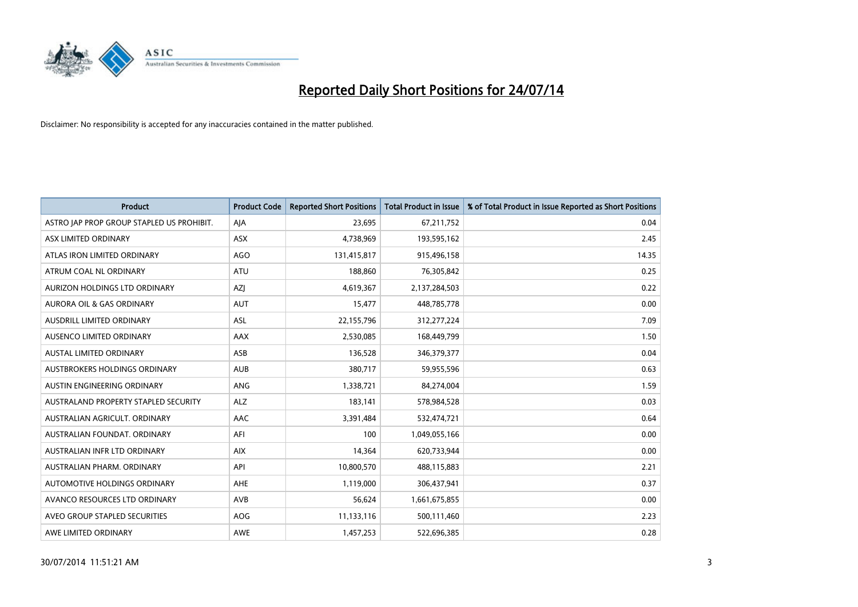

| <b>Product</b>                            | <b>Product Code</b> | <b>Reported Short Positions</b> | <b>Total Product in Issue</b> | % of Total Product in Issue Reported as Short Positions |
|-------------------------------------------|---------------------|---------------------------------|-------------------------------|---------------------------------------------------------|
| ASTRO JAP PROP GROUP STAPLED US PROHIBIT. | AJA                 | 23,695                          | 67,211,752                    | 0.04                                                    |
| ASX LIMITED ORDINARY                      | ASX                 | 4,738,969                       | 193,595,162                   | 2.45                                                    |
| ATLAS IRON LIMITED ORDINARY               | AGO                 | 131,415,817                     | 915,496,158                   | 14.35                                                   |
| ATRUM COAL NL ORDINARY                    | <b>ATU</b>          | 188,860                         | 76,305,842                    | 0.25                                                    |
| AURIZON HOLDINGS LTD ORDINARY             | <b>AZI</b>          | 4,619,367                       | 2,137,284,503                 | 0.22                                                    |
| <b>AURORA OIL &amp; GAS ORDINARY</b>      | <b>AUT</b>          | 15,477                          | 448,785,778                   | 0.00                                                    |
| AUSDRILL LIMITED ORDINARY                 | <b>ASL</b>          | 22,155,796                      | 312,277,224                   | 7.09                                                    |
| AUSENCO LIMITED ORDINARY                  | AAX                 | 2,530,085                       | 168,449,799                   | 1.50                                                    |
| <b>AUSTAL LIMITED ORDINARY</b>            | ASB                 | 136,528                         | 346,379,377                   | 0.04                                                    |
| AUSTBROKERS HOLDINGS ORDINARY             | <b>AUB</b>          | 380,717                         | 59,955,596                    | 0.63                                                    |
| AUSTIN ENGINEERING ORDINARY               | ANG                 | 1,338,721                       | 84,274,004                    | 1.59                                                    |
| AUSTRALAND PROPERTY STAPLED SECURITY      | <b>ALZ</b>          | 183,141                         | 578,984,528                   | 0.03                                                    |
| AUSTRALIAN AGRICULT. ORDINARY             | AAC                 | 3,391,484                       | 532,474,721                   | 0.64                                                    |
| AUSTRALIAN FOUNDAT, ORDINARY              | AFI                 | 100                             | 1,049,055,166                 | 0.00                                                    |
| AUSTRALIAN INFR LTD ORDINARY              | <b>AIX</b>          | 14,364                          | 620,733,944                   | 0.00                                                    |
| AUSTRALIAN PHARM. ORDINARY                | API                 | 10,800,570                      | 488,115,883                   | 2.21                                                    |
| AUTOMOTIVE HOLDINGS ORDINARY              | AHE                 | 1,119,000                       | 306,437,941                   | 0.37                                                    |
| AVANCO RESOURCES LTD ORDINARY             | AVB                 | 56.624                          | 1,661,675,855                 | 0.00                                                    |
| AVEO GROUP STAPLED SECURITIES             | <b>AOG</b>          | 11,133,116                      | 500,111,460                   | 2.23                                                    |
| AWE LIMITED ORDINARY                      | <b>AWE</b>          | 1,457,253                       | 522,696,385                   | 0.28                                                    |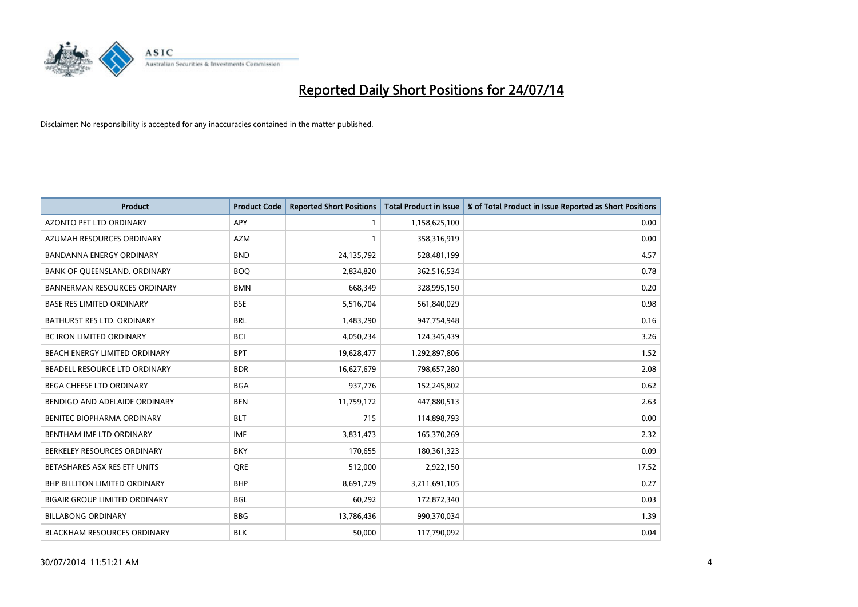

| <b>Product</b>                      | <b>Product Code</b> | <b>Reported Short Positions</b> | <b>Total Product in Issue</b> | % of Total Product in Issue Reported as Short Positions |
|-------------------------------------|---------------------|---------------------------------|-------------------------------|---------------------------------------------------------|
| <b>AZONTO PET LTD ORDINARY</b>      | APY                 | 1                               | 1,158,625,100                 | 0.00                                                    |
| AZUMAH RESOURCES ORDINARY           | <b>AZM</b>          | $\mathbf{1}$                    | 358,316,919                   | 0.00                                                    |
| <b>BANDANNA ENERGY ORDINARY</b>     | <b>BND</b>          | 24,135,792                      | 528,481,199                   | 4.57                                                    |
| BANK OF QUEENSLAND. ORDINARY        | <b>BOQ</b>          | 2,834,820                       | 362,516,534                   | 0.78                                                    |
| <b>BANNERMAN RESOURCES ORDINARY</b> | <b>BMN</b>          | 668,349                         | 328,995,150                   | 0.20                                                    |
| <b>BASE RES LIMITED ORDINARY</b>    | <b>BSE</b>          | 5,516,704                       | 561,840,029                   | 0.98                                                    |
| BATHURST RES LTD. ORDINARY          | <b>BRL</b>          | 1,483,290                       | 947,754,948                   | 0.16                                                    |
| <b>BC IRON LIMITED ORDINARY</b>     | <b>BCI</b>          | 4,050,234                       | 124,345,439                   | 3.26                                                    |
| BEACH ENERGY LIMITED ORDINARY       | <b>BPT</b>          | 19,628,477                      | 1,292,897,806                 | 1.52                                                    |
| BEADELL RESOURCE LTD ORDINARY       | <b>BDR</b>          | 16,627,679                      | 798,657,280                   | 2.08                                                    |
| BEGA CHEESE LTD ORDINARY            | <b>BGA</b>          | 937,776                         | 152,245,802                   | 0.62                                                    |
| BENDIGO AND ADELAIDE ORDINARY       | <b>BEN</b>          | 11,759,172                      | 447,880,513                   | 2.63                                                    |
| BENITEC BIOPHARMA ORDINARY          | <b>BLT</b>          | 715                             | 114,898,793                   | 0.00                                                    |
| BENTHAM IMF LTD ORDINARY            | <b>IMF</b>          | 3,831,473                       | 165,370,269                   | 2.32                                                    |
| BERKELEY RESOURCES ORDINARY         | <b>BKY</b>          | 170,655                         | 180,361,323                   | 0.09                                                    |
| BETASHARES ASX RES ETF UNITS        | <b>ORE</b>          | 512,000                         | 2,922,150                     | 17.52                                                   |
| BHP BILLITON LIMITED ORDINARY       | <b>BHP</b>          | 8,691,729                       | 3,211,691,105                 | 0.27                                                    |
| BIGAIR GROUP LIMITED ORDINARY       | <b>BGL</b>          | 60,292                          | 172,872,340                   | 0.03                                                    |
| <b>BILLABONG ORDINARY</b>           | <b>BBG</b>          | 13,786,436                      | 990,370,034                   | 1.39                                                    |
| <b>BLACKHAM RESOURCES ORDINARY</b>  | <b>BLK</b>          | 50,000                          | 117,790,092                   | 0.04                                                    |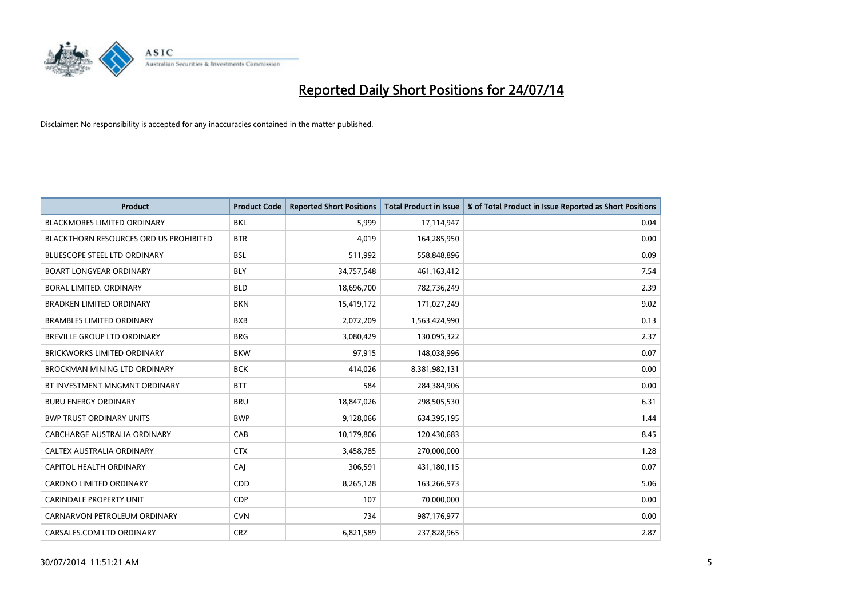

| <b>Product</b>                         | <b>Product Code</b> | <b>Reported Short Positions</b> | <b>Total Product in Issue</b> | % of Total Product in Issue Reported as Short Positions |
|----------------------------------------|---------------------|---------------------------------|-------------------------------|---------------------------------------------------------|
| <b>BLACKMORES LIMITED ORDINARY</b>     | <b>BKL</b>          | 5.999                           | 17,114,947                    | 0.04                                                    |
| BLACKTHORN RESOURCES ORD US PROHIBITED | <b>BTR</b>          | 4,019                           | 164,285,950                   | 0.00                                                    |
| <b>BLUESCOPE STEEL LTD ORDINARY</b>    | <b>BSL</b>          | 511,992                         | 558,848,896                   | 0.09                                                    |
| <b>BOART LONGYEAR ORDINARY</b>         | <b>BLY</b>          | 34,757,548                      | 461,163,412                   | 7.54                                                    |
| <b>BORAL LIMITED, ORDINARY</b>         | <b>BLD</b>          | 18,696,700                      | 782,736,249                   | 2.39                                                    |
| <b>BRADKEN LIMITED ORDINARY</b>        | <b>BKN</b>          | 15,419,172                      | 171,027,249                   | 9.02                                                    |
| <b>BRAMBLES LIMITED ORDINARY</b>       | <b>BXB</b>          | 2,072,209                       | 1,563,424,990                 | 0.13                                                    |
| BREVILLE GROUP LTD ORDINARY            | <b>BRG</b>          | 3,080,429                       | 130,095,322                   | 2.37                                                    |
| <b>BRICKWORKS LIMITED ORDINARY</b>     | <b>BKW</b>          | 97,915                          | 148,038,996                   | 0.07                                                    |
| <b>BROCKMAN MINING LTD ORDINARY</b>    | <b>BCK</b>          | 414,026                         | 8,381,982,131                 | 0.00                                                    |
| BT INVESTMENT MNGMNT ORDINARY          | <b>BTT</b>          | 584                             | 284,384,906                   | 0.00                                                    |
| <b>BURU ENERGY ORDINARY</b>            | <b>BRU</b>          | 18,847,026                      | 298,505,530                   | 6.31                                                    |
| <b>BWP TRUST ORDINARY UNITS</b>        | <b>BWP</b>          | 9,128,066                       | 634,395,195                   | 1.44                                                    |
| <b>CABCHARGE AUSTRALIA ORDINARY</b>    | CAB                 | 10,179,806                      | 120,430,683                   | 8.45                                                    |
| CALTEX AUSTRALIA ORDINARY              | <b>CTX</b>          | 3,458,785                       | 270,000,000                   | 1.28                                                    |
| CAPITOL HEALTH ORDINARY                | CAI                 | 306,591                         | 431,180,115                   | 0.07                                                    |
| CARDNO LIMITED ORDINARY                | CDD                 | 8,265,128                       | 163,266,973                   | 5.06                                                    |
| CARINDALE PROPERTY UNIT                | <b>CDP</b>          | 107                             | 70,000,000                    | 0.00                                                    |
| CARNARVON PETROLEUM ORDINARY           | <b>CVN</b>          | 734                             | 987,176,977                   | 0.00                                                    |
| CARSALES.COM LTD ORDINARY              | <b>CRZ</b>          | 6,821,589                       | 237,828,965                   | 2.87                                                    |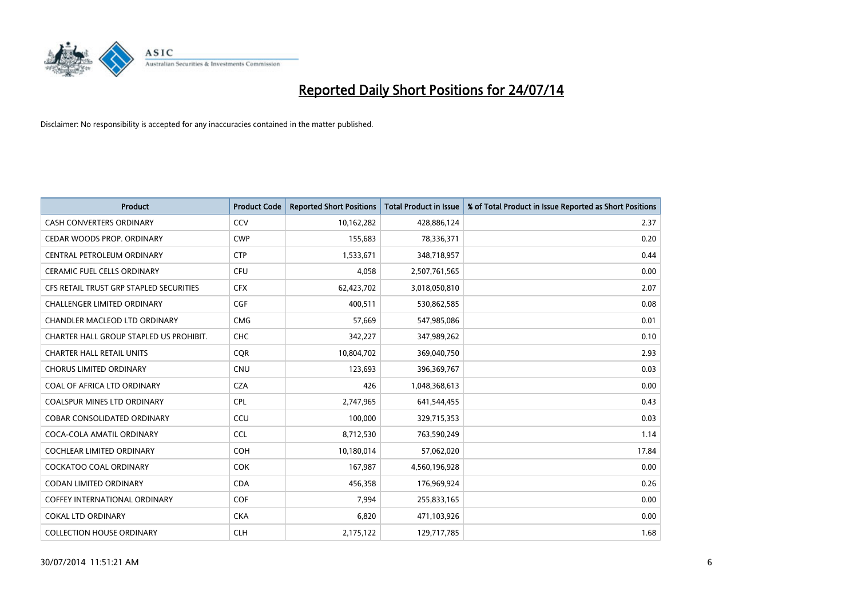

| <b>Product</b>                          | <b>Product Code</b> | <b>Reported Short Positions</b> | <b>Total Product in Issue</b> | % of Total Product in Issue Reported as Short Positions |
|-----------------------------------------|---------------------|---------------------------------|-------------------------------|---------------------------------------------------------|
| <b>CASH CONVERTERS ORDINARY</b>         | CCV                 | 10,162,282                      | 428,886,124                   | 2.37                                                    |
| CEDAR WOODS PROP. ORDINARY              | <b>CWP</b>          | 155,683                         | 78,336,371                    | 0.20                                                    |
| CENTRAL PETROLEUM ORDINARY              | <b>CTP</b>          | 1,533,671                       | 348,718,957                   | 0.44                                                    |
| CERAMIC FUEL CELLS ORDINARY             | <b>CFU</b>          | 4,058                           | 2,507,761,565                 | 0.00                                                    |
| CFS RETAIL TRUST GRP STAPLED SECURITIES | <b>CFX</b>          | 62,423,702                      | 3,018,050,810                 | 2.07                                                    |
| <b>CHALLENGER LIMITED ORDINARY</b>      | <b>CGF</b>          | 400,511                         | 530,862,585                   | 0.08                                                    |
| CHANDLER MACLEOD LTD ORDINARY           | <b>CMG</b>          | 57,669                          | 547,985,086                   | 0.01                                                    |
| CHARTER HALL GROUP STAPLED US PROHIBIT. | <b>CHC</b>          | 342,227                         | 347,989,262                   | 0.10                                                    |
| <b>CHARTER HALL RETAIL UNITS</b>        | <b>COR</b>          | 10,804,702                      | 369,040,750                   | 2.93                                                    |
| <b>CHORUS LIMITED ORDINARY</b>          | <b>CNU</b>          | 123,693                         | 396,369,767                   | 0.03                                                    |
| COAL OF AFRICA LTD ORDINARY             | <b>CZA</b>          | 426                             | 1,048,368,613                 | 0.00                                                    |
| <b>COALSPUR MINES LTD ORDINARY</b>      | <b>CPL</b>          | 2,747,965                       | 641,544,455                   | 0.43                                                    |
| COBAR CONSOLIDATED ORDINARY             | CCU                 | 100,000                         | 329,715,353                   | 0.03                                                    |
| COCA-COLA AMATIL ORDINARY               | <b>CCL</b>          | 8,712,530                       | 763,590,249                   | 1.14                                                    |
| <b>COCHLEAR LIMITED ORDINARY</b>        | <b>COH</b>          | 10,180,014                      | 57,062,020                    | 17.84                                                   |
| COCKATOO COAL ORDINARY                  | <b>COK</b>          | 167,987                         | 4,560,196,928                 | 0.00                                                    |
| CODAN LIMITED ORDINARY                  | <b>CDA</b>          | 456,358                         | 176,969,924                   | 0.26                                                    |
| <b>COFFEY INTERNATIONAL ORDINARY</b>    | <b>COF</b>          | 7,994                           | 255,833,165                   | 0.00                                                    |
| <b>COKAL LTD ORDINARY</b>               | <b>CKA</b>          | 6,820                           | 471,103,926                   | 0.00                                                    |
| <b>COLLECTION HOUSE ORDINARY</b>        | <b>CLH</b>          | 2,175,122                       | 129,717,785                   | 1.68                                                    |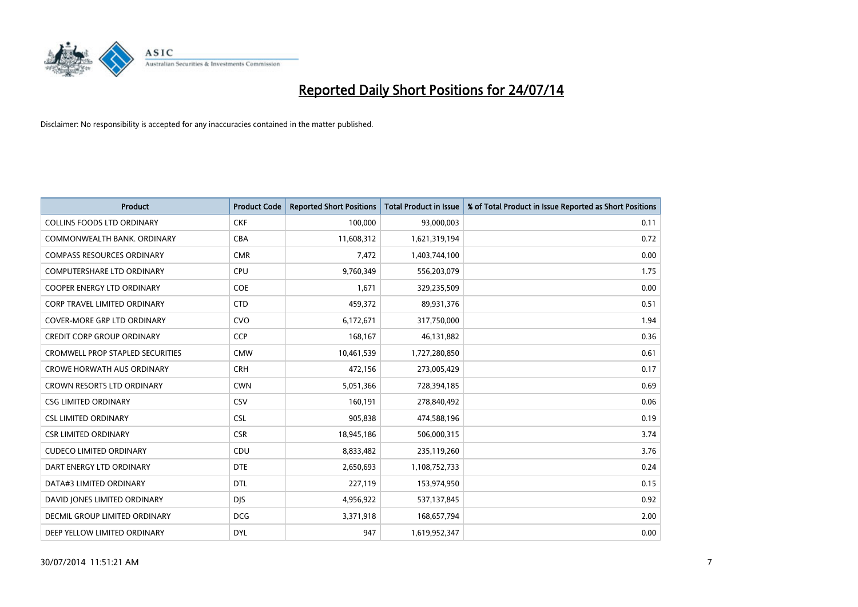

| <b>Product</b>                          | <b>Product Code</b> | <b>Reported Short Positions</b> | <b>Total Product in Issue</b> | % of Total Product in Issue Reported as Short Positions |
|-----------------------------------------|---------------------|---------------------------------|-------------------------------|---------------------------------------------------------|
| <b>COLLINS FOODS LTD ORDINARY</b>       | <b>CKF</b>          | 100,000                         | 93,000,003                    | 0.11                                                    |
| COMMONWEALTH BANK, ORDINARY             | <b>CBA</b>          | 11,608,312                      | 1,621,319,194                 | 0.72                                                    |
| <b>COMPASS RESOURCES ORDINARY</b>       | <b>CMR</b>          | 7,472                           | 1,403,744,100                 | 0.00                                                    |
| COMPUTERSHARE LTD ORDINARY              | <b>CPU</b>          | 9,760,349                       | 556,203,079                   | 1.75                                                    |
| <b>COOPER ENERGY LTD ORDINARY</b>       | <b>COE</b>          | 1,671                           | 329,235,509                   | 0.00                                                    |
| <b>CORP TRAVEL LIMITED ORDINARY</b>     | <b>CTD</b>          | 459,372                         | 89,931,376                    | 0.51                                                    |
| <b>COVER-MORE GRP LTD ORDINARY</b>      | <b>CVO</b>          | 6,172,671                       | 317,750,000                   | 1.94                                                    |
| <b>CREDIT CORP GROUP ORDINARY</b>       | <b>CCP</b>          | 168,167                         | 46,131,882                    | 0.36                                                    |
| <b>CROMWELL PROP STAPLED SECURITIES</b> | <b>CMW</b>          | 10,461,539                      | 1,727,280,850                 | 0.61                                                    |
| <b>CROWE HORWATH AUS ORDINARY</b>       | <b>CRH</b>          | 472,156                         | 273,005,429                   | 0.17                                                    |
| <b>CROWN RESORTS LTD ORDINARY</b>       | <b>CWN</b>          | 5,051,366                       | 728,394,185                   | 0.69                                                    |
| <b>CSG LIMITED ORDINARY</b>             | <b>CSV</b>          | 160,191                         | 278,840,492                   | 0.06                                                    |
| <b>CSL LIMITED ORDINARY</b>             | <b>CSL</b>          | 905,838                         | 474,588,196                   | 0.19                                                    |
| <b>CSR LIMITED ORDINARY</b>             | <b>CSR</b>          | 18,945,186                      | 506,000,315                   | 3.74                                                    |
| <b>CUDECO LIMITED ORDINARY</b>          | CDU                 | 8,833,482                       | 235,119,260                   | 3.76                                                    |
| DART ENERGY LTD ORDINARY                | <b>DTE</b>          | 2,650,693                       | 1,108,752,733                 | 0.24                                                    |
| DATA#3 LIMITED ORDINARY                 | DTL                 | 227,119                         | 153,974,950                   | 0.15                                                    |
| DAVID JONES LIMITED ORDINARY            | <b>DJS</b>          | 4,956,922                       | 537,137,845                   | 0.92                                                    |
| DECMIL GROUP LIMITED ORDINARY           | <b>DCG</b>          | 3,371,918                       | 168,657,794                   | 2.00                                                    |
| DEEP YELLOW LIMITED ORDINARY            | <b>DYL</b>          | 947                             | 1,619,952,347                 | 0.00                                                    |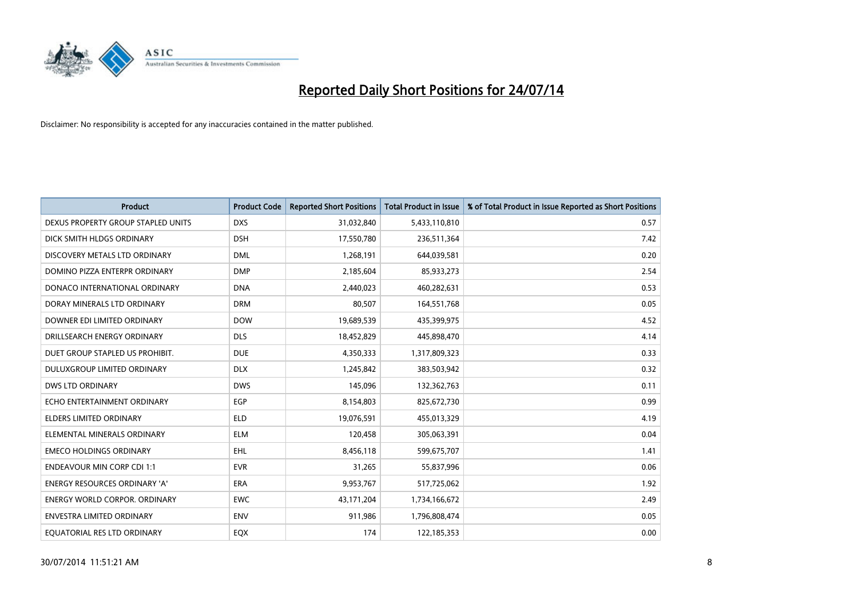

| <b>Product</b>                       | <b>Product Code</b> | <b>Reported Short Positions</b> | <b>Total Product in Issue</b> | % of Total Product in Issue Reported as Short Positions |
|--------------------------------------|---------------------|---------------------------------|-------------------------------|---------------------------------------------------------|
| DEXUS PROPERTY GROUP STAPLED UNITS   | <b>DXS</b>          | 31,032,840                      | 5,433,110,810                 | 0.57                                                    |
| DICK SMITH HLDGS ORDINARY            | <b>DSH</b>          | 17,550,780                      | 236,511,364                   | 7.42                                                    |
| DISCOVERY METALS LTD ORDINARY        | <b>DML</b>          | 1,268,191                       | 644,039,581                   | 0.20                                                    |
| DOMINO PIZZA ENTERPR ORDINARY        | <b>DMP</b>          | 2,185,604                       | 85,933,273                    | 2.54                                                    |
| DONACO INTERNATIONAL ORDINARY        | <b>DNA</b>          | 2,440,023                       | 460,282,631                   | 0.53                                                    |
| DORAY MINERALS LTD ORDINARY          | <b>DRM</b>          | 80,507                          | 164,551,768                   | 0.05                                                    |
| DOWNER EDI LIMITED ORDINARY          | <b>DOW</b>          | 19,689,539                      | 435,399,975                   | 4.52                                                    |
| DRILLSEARCH ENERGY ORDINARY          | <b>DLS</b>          | 18,452,829                      | 445,898,470                   | 4.14                                                    |
| DUET GROUP STAPLED US PROHIBIT.      | <b>DUE</b>          | 4,350,333                       | 1,317,809,323                 | 0.33                                                    |
| DULUXGROUP LIMITED ORDINARY          | <b>DLX</b>          | 1,245,842                       | 383,503,942                   | 0.32                                                    |
| <b>DWS LTD ORDINARY</b>              | <b>DWS</b>          | 145,096                         | 132,362,763                   | 0.11                                                    |
| ECHO ENTERTAINMENT ORDINARY          | EGP                 | 8,154,803                       | 825,672,730                   | 0.99                                                    |
| <b>ELDERS LIMITED ORDINARY</b>       | <b>ELD</b>          | 19,076,591                      | 455,013,329                   | 4.19                                                    |
| ELEMENTAL MINERALS ORDINARY          | <b>ELM</b>          | 120,458                         | 305,063,391                   | 0.04                                                    |
| <b>EMECO HOLDINGS ORDINARY</b>       | <b>EHL</b>          | 8,456,118                       | 599,675,707                   | 1.41                                                    |
| <b>ENDEAVOUR MIN CORP CDI 1:1</b>    | <b>EVR</b>          | 31,265                          | 55,837,996                    | 0.06                                                    |
| <b>ENERGY RESOURCES ORDINARY 'A'</b> | <b>ERA</b>          | 9,953,767                       | 517,725,062                   | 1.92                                                    |
| <b>ENERGY WORLD CORPOR. ORDINARY</b> | <b>EWC</b>          | 43,171,204                      | 1,734,166,672                 | 2.49                                                    |
| ENVESTRA LIMITED ORDINARY            | <b>ENV</b>          | 911,986                         | 1,796,808,474                 | 0.05                                                    |
| EQUATORIAL RES LTD ORDINARY          | EQX                 | 174                             | 122,185,353                   | 0.00                                                    |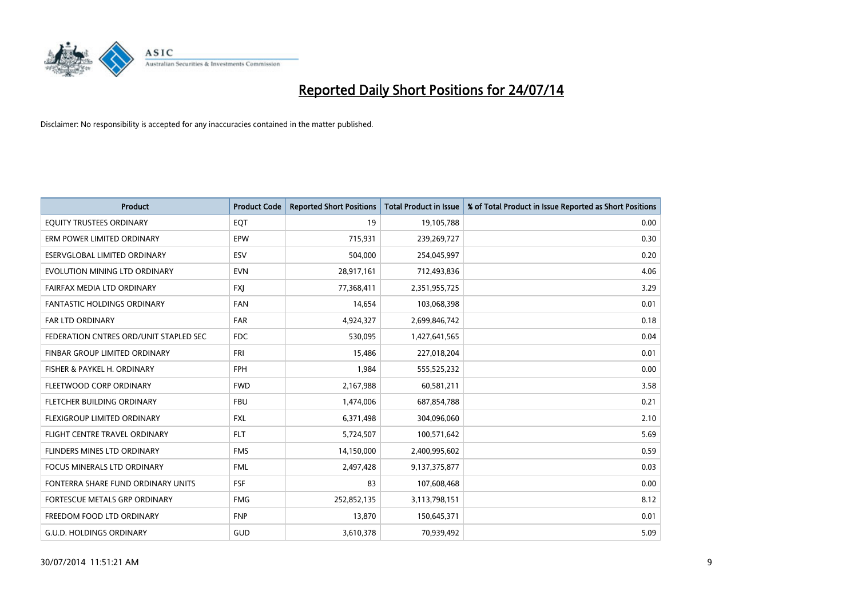

| Product                                | <b>Product Code</b> | <b>Reported Short Positions</b> | <b>Total Product in Issue</b> | % of Total Product in Issue Reported as Short Positions |
|----------------------------------------|---------------------|---------------------------------|-------------------------------|---------------------------------------------------------|
| EQUITY TRUSTEES ORDINARY               | EQT                 | 19                              | 19,105,788                    | 0.00                                                    |
| ERM POWER LIMITED ORDINARY             | EPW                 | 715,931                         | 239,269,727                   | 0.30                                                    |
| ESERVGLOBAL LIMITED ORDINARY           | ESV                 | 504,000                         | 254,045,997                   | 0.20                                                    |
| EVOLUTION MINING LTD ORDINARY          | <b>EVN</b>          | 28,917,161                      | 712,493,836                   | 4.06                                                    |
| FAIRFAX MEDIA LTD ORDINARY             | <b>FXI</b>          | 77,368,411                      | 2,351,955,725                 | 3.29                                                    |
| <b>FANTASTIC HOLDINGS ORDINARY</b>     | <b>FAN</b>          | 14,654                          | 103,068,398                   | 0.01                                                    |
| <b>FAR LTD ORDINARY</b>                | <b>FAR</b>          | 4,924,327                       | 2,699,846,742                 | 0.18                                                    |
| FEDERATION CNTRES ORD/UNIT STAPLED SEC | FDC                 | 530,095                         | 1,427,641,565                 | 0.04                                                    |
| FINBAR GROUP LIMITED ORDINARY          | <b>FRI</b>          | 15,486                          | 227,018,204                   | 0.01                                                    |
| FISHER & PAYKEL H. ORDINARY            | <b>FPH</b>          | 1,984                           | 555,525,232                   | 0.00                                                    |
| FLEETWOOD CORP ORDINARY                | <b>FWD</b>          | 2,167,988                       | 60,581,211                    | 3.58                                                    |
| FLETCHER BUILDING ORDINARY             | <b>FBU</b>          | 1,474,006                       | 687,854,788                   | 0.21                                                    |
| FLEXIGROUP LIMITED ORDINARY            | <b>FXL</b>          | 6,371,498                       | 304,096,060                   | 2.10                                                    |
| FLIGHT CENTRE TRAVEL ORDINARY          | <b>FLT</b>          | 5,724,507                       | 100,571,642                   | 5.69                                                    |
| FLINDERS MINES LTD ORDINARY            | <b>FMS</b>          | 14,150,000                      | 2,400,995,602                 | 0.59                                                    |
| <b>FOCUS MINERALS LTD ORDINARY</b>     | <b>FML</b>          | 2,497,428                       | 9,137,375,877                 | 0.03                                                    |
| FONTERRA SHARE FUND ORDINARY UNITS     | <b>FSF</b>          | 83                              | 107,608,468                   | 0.00                                                    |
| <b>FORTESCUE METALS GRP ORDINARY</b>   | <b>FMG</b>          | 252,852,135                     | 3,113,798,151                 | 8.12                                                    |
| FREEDOM FOOD LTD ORDINARY              | <b>FNP</b>          | 13,870                          | 150,645,371                   | 0.01                                                    |
| <b>G.U.D. HOLDINGS ORDINARY</b>        | GUD                 | 3,610,378                       | 70,939,492                    | 5.09                                                    |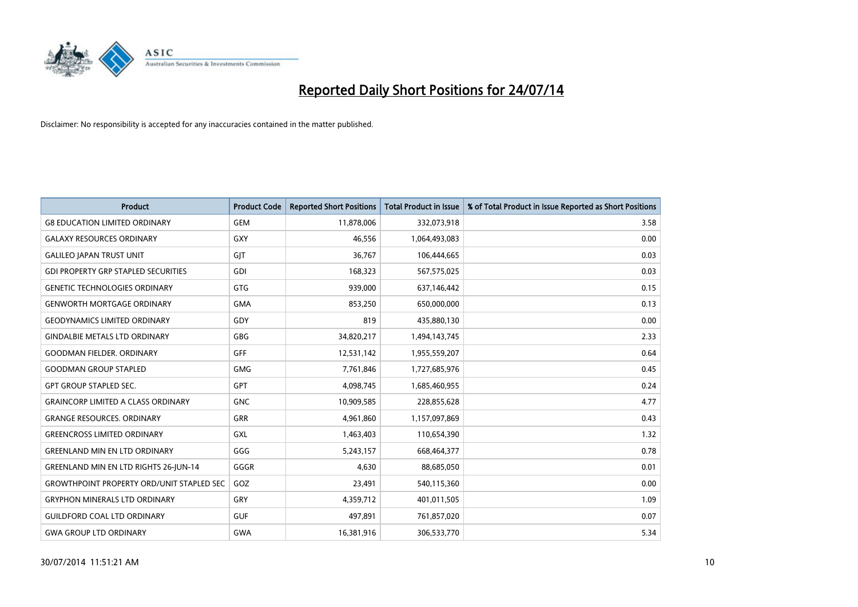

| <b>Product</b>                                   | <b>Product Code</b> | <b>Reported Short Positions</b> | <b>Total Product in Issue</b> | % of Total Product in Issue Reported as Short Positions |
|--------------------------------------------------|---------------------|---------------------------------|-------------------------------|---------------------------------------------------------|
| <b>G8 EDUCATION LIMITED ORDINARY</b>             | <b>GEM</b>          | 11,878,006                      | 332,073,918                   | 3.58                                                    |
| <b>GALAXY RESOURCES ORDINARY</b>                 | <b>GXY</b>          | 46,556                          | 1,064,493,083                 | 0.00                                                    |
| <b>GALILEO JAPAN TRUST UNIT</b>                  | GJT                 | 36,767                          | 106,444,665                   | 0.03                                                    |
| <b>GDI PROPERTY GRP STAPLED SECURITIES</b>       | <b>GDI</b>          | 168,323                         | 567,575,025                   | 0.03                                                    |
| <b>GENETIC TECHNOLOGIES ORDINARY</b>             | <b>GTG</b>          | 939,000                         | 637,146,442                   | 0.15                                                    |
| <b>GENWORTH MORTGAGE ORDINARY</b>                | <b>GMA</b>          | 853,250                         | 650,000,000                   | 0.13                                                    |
| <b>GEODYNAMICS LIMITED ORDINARY</b>              | GDY                 | 819                             | 435,880,130                   | 0.00                                                    |
| <b>GINDALBIE METALS LTD ORDINARY</b>             | <b>GBG</b>          | 34,820,217                      | 1,494,143,745                 | 2.33                                                    |
| <b>GOODMAN FIELDER, ORDINARY</b>                 | <b>GFF</b>          | 12,531,142                      | 1,955,559,207                 | 0.64                                                    |
| <b>GOODMAN GROUP STAPLED</b>                     | <b>GMG</b>          | 7,761,846                       | 1,727,685,976                 | 0.45                                                    |
| <b>GPT GROUP STAPLED SEC.</b>                    | GPT                 | 4,098,745                       | 1,685,460,955                 | 0.24                                                    |
| <b>GRAINCORP LIMITED A CLASS ORDINARY</b>        | <b>GNC</b>          | 10,909,585                      | 228,855,628                   | 4.77                                                    |
| <b>GRANGE RESOURCES, ORDINARY</b>                | <b>GRR</b>          | 4,961,860                       | 1,157,097,869                 | 0.43                                                    |
| <b>GREENCROSS LIMITED ORDINARY</b>               | <b>GXL</b>          | 1,463,403                       | 110,654,390                   | 1.32                                                    |
| <b>GREENLAND MIN EN LTD ORDINARY</b>             | GGG                 | 5,243,157                       | 668,464,377                   | 0.78                                                    |
| <b>GREENLAND MIN EN LTD RIGHTS 26-JUN-14</b>     | GGGR                | 4,630                           | 88,685,050                    | 0.01                                                    |
| <b>GROWTHPOINT PROPERTY ORD/UNIT STAPLED SEC</b> | GOZ                 | 23,491                          | 540,115,360                   | 0.00                                                    |
| <b>GRYPHON MINERALS LTD ORDINARY</b>             | GRY                 | 4,359,712                       | 401,011,505                   | 1.09                                                    |
| <b>GUILDFORD COAL LTD ORDINARY</b>               | <b>GUF</b>          | 497,891                         | 761,857,020                   | 0.07                                                    |
| <b>GWA GROUP LTD ORDINARY</b>                    | <b>GWA</b>          | 16,381,916                      | 306,533,770                   | 5.34                                                    |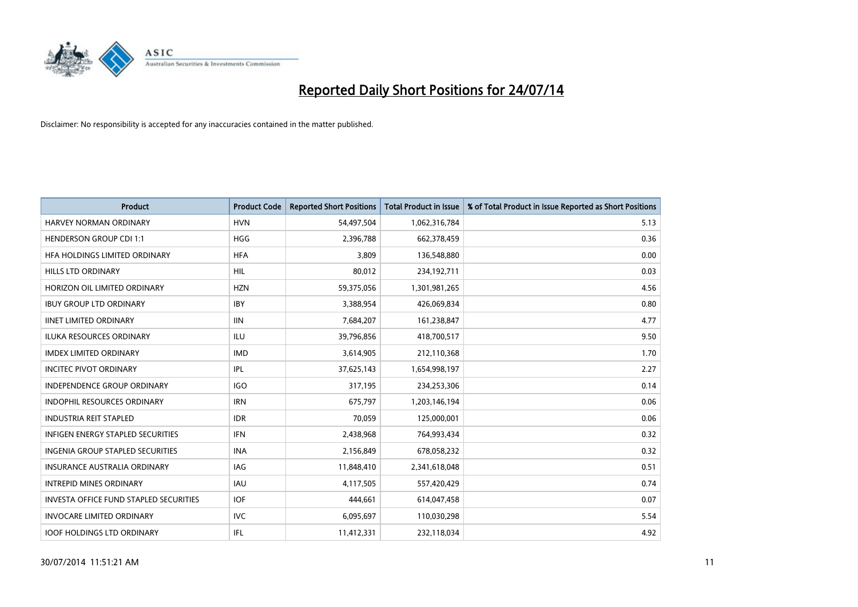

| Product                                       | <b>Product Code</b> | <b>Reported Short Positions</b> | <b>Total Product in Issue</b> | % of Total Product in Issue Reported as Short Positions |
|-----------------------------------------------|---------------------|---------------------------------|-------------------------------|---------------------------------------------------------|
| HARVEY NORMAN ORDINARY                        | <b>HVN</b>          | 54,497,504                      | 1,062,316,784                 | 5.13                                                    |
| <b>HENDERSON GROUP CDI 1:1</b>                | <b>HGG</b>          | 2,396,788                       | 662,378,459                   | 0.36                                                    |
| HFA HOLDINGS LIMITED ORDINARY                 | <b>HFA</b>          | 3,809                           | 136,548,880                   | 0.00                                                    |
| HILLS LTD ORDINARY                            | HIL                 | 80,012                          | 234,192,711                   | 0.03                                                    |
| HORIZON OIL LIMITED ORDINARY                  | <b>HZN</b>          | 59,375,056                      | 1,301,981,265                 | 4.56                                                    |
| <b>IBUY GROUP LTD ORDINARY</b>                | <b>IBY</b>          | 3,388,954                       | 426,069,834                   | 0.80                                                    |
| <b>IINET LIMITED ORDINARY</b>                 | <b>IIN</b>          | 7,684,207                       | 161,238,847                   | 4.77                                                    |
| <b>ILUKA RESOURCES ORDINARY</b>               | <b>ILU</b>          | 39,796,856                      | 418,700,517                   | 9.50                                                    |
| <b>IMDEX LIMITED ORDINARY</b>                 | <b>IMD</b>          | 3,614,905                       | 212,110,368                   | 1.70                                                    |
| <b>INCITEC PIVOT ORDINARY</b>                 | IPL                 | 37,625,143                      | 1,654,998,197                 | 2.27                                                    |
| <b>INDEPENDENCE GROUP ORDINARY</b>            | <b>IGO</b>          | 317,195                         | 234,253,306                   | 0.14                                                    |
| <b>INDOPHIL RESOURCES ORDINARY</b>            | <b>IRN</b>          | 675,797                         | 1,203,146,194                 | 0.06                                                    |
| <b>INDUSTRIA REIT STAPLED</b>                 | <b>IDR</b>          | 70,059                          | 125,000,001                   | 0.06                                                    |
| <b>INFIGEN ENERGY STAPLED SECURITIES</b>      | <b>IFN</b>          | 2,438,968                       | 764,993,434                   | 0.32                                                    |
| <b>INGENIA GROUP STAPLED SECURITIES</b>       | <b>INA</b>          | 2,156,849                       | 678,058,232                   | 0.32                                                    |
| <b>INSURANCE AUSTRALIA ORDINARY</b>           | <b>IAG</b>          | 11,848,410                      | 2,341,618,048                 | 0.51                                                    |
| <b>INTREPID MINES ORDINARY</b>                | <b>IAU</b>          | 4,117,505                       | 557,420,429                   | 0.74                                                    |
| <b>INVESTA OFFICE FUND STAPLED SECURITIES</b> | <b>IOF</b>          | 444,661                         | 614,047,458                   | 0.07                                                    |
| <b>INVOCARE LIMITED ORDINARY</b>              | <b>IVC</b>          | 6,095,697                       | 110,030,298                   | 5.54                                                    |
| <b>IOOF HOLDINGS LTD ORDINARY</b>             | IFL                 | 11,412,331                      | 232,118,034                   | 4.92                                                    |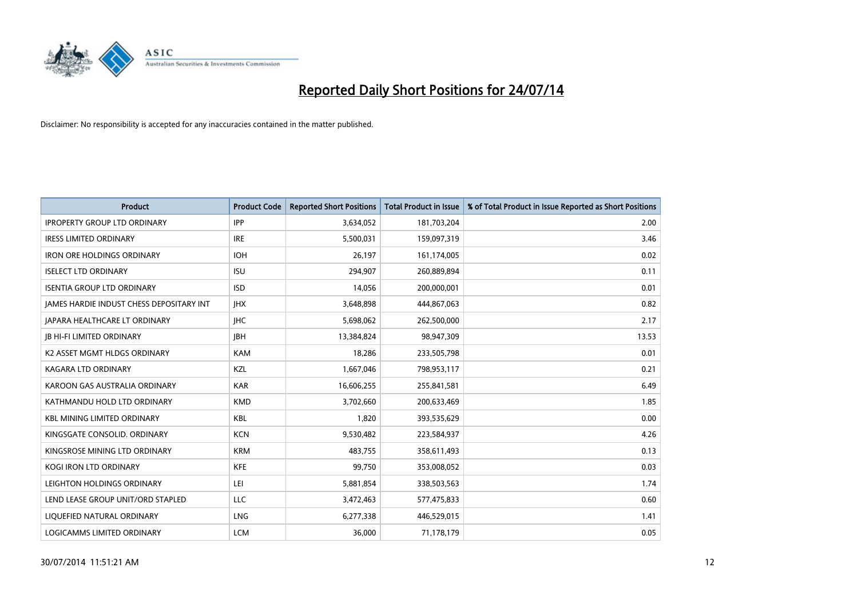

| <b>Product</b>                                  | <b>Product Code</b> | <b>Reported Short Positions</b> | <b>Total Product in Issue</b> | % of Total Product in Issue Reported as Short Positions |
|-------------------------------------------------|---------------------|---------------------------------|-------------------------------|---------------------------------------------------------|
| <b>IPROPERTY GROUP LTD ORDINARY</b>             | <b>IPP</b>          | 3,634,052                       | 181,703,204                   | 2.00                                                    |
| <b>IRESS LIMITED ORDINARY</b>                   | <b>IRE</b>          | 5,500,031                       | 159,097,319                   | 3.46                                                    |
| <b>IRON ORE HOLDINGS ORDINARY</b>               | <b>IOH</b>          | 26,197                          | 161,174,005                   | 0.02                                                    |
| <b>ISELECT LTD ORDINARY</b>                     | <b>ISU</b>          | 294,907                         | 260,889,894                   | 0.11                                                    |
| <b>ISENTIA GROUP LTD ORDINARY</b>               | <b>ISD</b>          | 14,056                          | 200,000,001                   | 0.01                                                    |
| <b>JAMES HARDIE INDUST CHESS DEPOSITARY INT</b> | <b>IHX</b>          | 3,648,898                       | 444,867,063                   | 0.82                                                    |
| <b>JAPARA HEALTHCARE LT ORDINARY</b>            | <b>IHC</b>          | 5,698,062                       | 262,500,000                   | 2.17                                                    |
| <b>JB HI-FI LIMITED ORDINARY</b>                | <b>IBH</b>          | 13,384,824                      | 98,947,309                    | 13.53                                                   |
| K2 ASSET MGMT HLDGS ORDINARY                    | <b>KAM</b>          | 18,286                          | 233,505,798                   | 0.01                                                    |
| <b>KAGARA LTD ORDINARY</b>                      | KZL                 | 1,667,046                       | 798,953,117                   | 0.21                                                    |
| KAROON GAS AUSTRALIA ORDINARY                   | <b>KAR</b>          | 16,606,255                      | 255,841,581                   | 6.49                                                    |
| KATHMANDU HOLD LTD ORDINARY                     | <b>KMD</b>          | 3,702,660                       | 200,633,469                   | 1.85                                                    |
| <b>KBL MINING LIMITED ORDINARY</b>              | <b>KBL</b>          | 1,820                           | 393,535,629                   | 0.00                                                    |
| KINGSGATE CONSOLID. ORDINARY                    | <b>KCN</b>          | 9,530,482                       | 223,584,937                   | 4.26                                                    |
| KINGSROSE MINING LTD ORDINARY                   | <b>KRM</b>          | 483,755                         | 358,611,493                   | 0.13                                                    |
| KOGI IRON LTD ORDINARY                          | KFE                 | 99,750                          | 353,008,052                   | 0.03                                                    |
| LEIGHTON HOLDINGS ORDINARY                      | LEI                 | 5,881,854                       | 338,503,563                   | 1.74                                                    |
| LEND LEASE GROUP UNIT/ORD STAPLED               | LLC                 | 3,472,463                       | 577,475,833                   | 0.60                                                    |
| LIQUEFIED NATURAL ORDINARY                      | LNG                 | 6,277,338                       | 446,529,015                   | 1.41                                                    |
| LOGICAMMS LIMITED ORDINARY                      | <b>LCM</b>          | 36.000                          | 71,178,179                    | 0.05                                                    |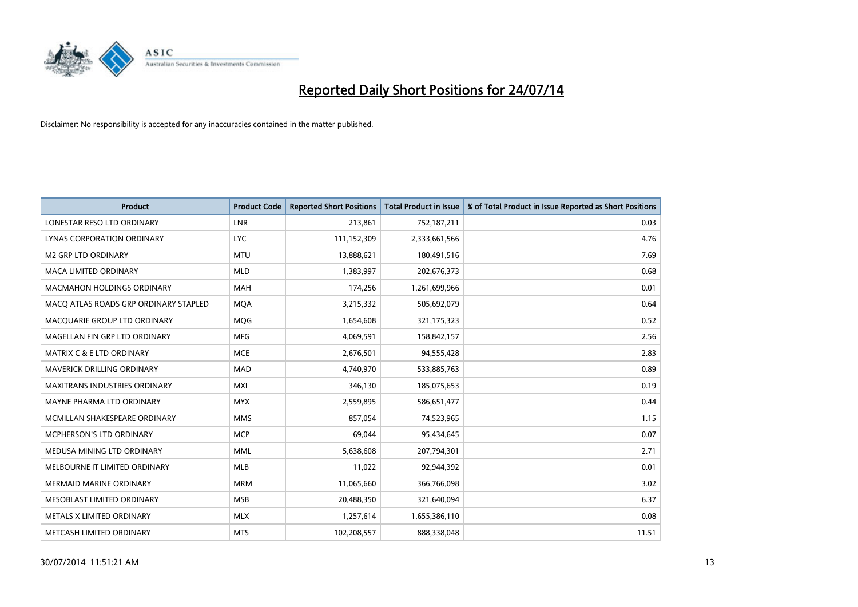

| <b>Product</b>                        | <b>Product Code</b> | <b>Reported Short Positions</b> | <b>Total Product in Issue</b> | % of Total Product in Issue Reported as Short Positions |
|---------------------------------------|---------------------|---------------------------------|-------------------------------|---------------------------------------------------------|
| LONESTAR RESO LTD ORDINARY            | <b>LNR</b>          | 213,861                         | 752,187,211                   | 0.03                                                    |
| LYNAS CORPORATION ORDINARY            | <b>LYC</b>          | 111,152,309                     | 2,333,661,566                 | 4.76                                                    |
| <b>M2 GRP LTD ORDINARY</b>            | <b>MTU</b>          | 13,888,621                      | 180,491,516                   | 7.69                                                    |
| MACA LIMITED ORDINARY                 | <b>MLD</b>          | 1,383,997                       | 202,676,373                   | 0.68                                                    |
| <b>MACMAHON HOLDINGS ORDINARY</b>     | MAH                 | 174,256                         | 1,261,699,966                 | 0.01                                                    |
| MACO ATLAS ROADS GRP ORDINARY STAPLED | <b>MOA</b>          | 3,215,332                       | 505,692,079                   | 0.64                                                    |
| MACQUARIE GROUP LTD ORDINARY          | <b>MOG</b>          | 1,654,608                       | 321,175,323                   | 0.52                                                    |
| MAGELLAN FIN GRP LTD ORDINARY         | <b>MFG</b>          | 4,069,591                       | 158,842,157                   | 2.56                                                    |
| <b>MATRIX C &amp; E LTD ORDINARY</b>  | <b>MCE</b>          | 2,676,501                       | 94,555,428                    | 2.83                                                    |
| <b>MAVERICK DRILLING ORDINARY</b>     | <b>MAD</b>          | 4,740,970                       | 533,885,763                   | 0.89                                                    |
| MAXITRANS INDUSTRIES ORDINARY         | <b>MXI</b>          | 346,130                         | 185,075,653                   | 0.19                                                    |
| MAYNE PHARMA LTD ORDINARY             | <b>MYX</b>          | 2,559,895                       | 586,651,477                   | 0.44                                                    |
| MCMILLAN SHAKESPEARE ORDINARY         | <b>MMS</b>          | 857,054                         | 74,523,965                    | 1.15                                                    |
| <b>MCPHERSON'S LTD ORDINARY</b>       | <b>MCP</b>          | 69,044                          | 95,434,645                    | 0.07                                                    |
| MEDUSA MINING LTD ORDINARY            | <b>MML</b>          | 5,638,608                       | 207,794,301                   | 2.71                                                    |
| MELBOURNE IT LIMITED ORDINARY         | MLB                 | 11,022                          | 92,944,392                    | 0.01                                                    |
| MERMAID MARINE ORDINARY               | <b>MRM</b>          | 11,065,660                      | 366,766,098                   | 3.02                                                    |
| MESOBLAST LIMITED ORDINARY            | <b>MSB</b>          | 20,488,350                      | 321,640,094                   | 6.37                                                    |
| METALS X LIMITED ORDINARY             | <b>MLX</b>          | 1,257,614                       | 1,655,386,110                 | 0.08                                                    |
| METCASH LIMITED ORDINARY              | <b>MTS</b>          | 102,208,557                     | 888,338,048                   | 11.51                                                   |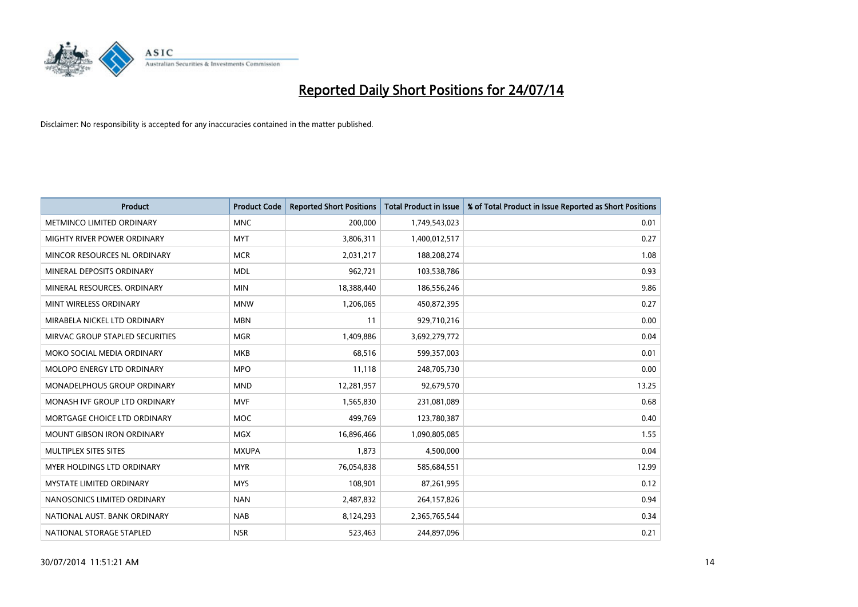

| <b>Product</b>                     | <b>Product Code</b> | <b>Reported Short Positions</b> | <b>Total Product in Issue</b> | % of Total Product in Issue Reported as Short Positions |
|------------------------------------|---------------------|---------------------------------|-------------------------------|---------------------------------------------------------|
| METMINCO LIMITED ORDINARY          | <b>MNC</b>          | 200,000                         | 1,749,543,023                 | 0.01                                                    |
| MIGHTY RIVER POWER ORDINARY        | <b>MYT</b>          | 3,806,311                       | 1,400,012,517                 | 0.27                                                    |
| MINCOR RESOURCES NL ORDINARY       | <b>MCR</b>          | 2,031,217                       | 188,208,274                   | 1.08                                                    |
| MINERAL DEPOSITS ORDINARY          | <b>MDL</b>          | 962,721                         | 103,538,786                   | 0.93                                                    |
| MINERAL RESOURCES, ORDINARY        | <b>MIN</b>          | 18,388,440                      | 186,556,246                   | 9.86                                                    |
| MINT WIRELESS ORDINARY             | <b>MNW</b>          | 1,206,065                       | 450,872,395                   | 0.27                                                    |
| MIRABELA NICKEL LTD ORDINARY       | <b>MBN</b>          | 11                              | 929,710,216                   | 0.00                                                    |
| MIRVAC GROUP STAPLED SECURITIES    | <b>MGR</b>          | 1,409,886                       | 3,692,279,772                 | 0.04                                                    |
| MOKO SOCIAL MEDIA ORDINARY         | <b>MKB</b>          | 68,516                          | 599,357,003                   | 0.01                                                    |
| MOLOPO ENERGY LTD ORDINARY         | <b>MPO</b>          | 11,118                          | 248,705,730                   | 0.00                                                    |
| <b>MONADELPHOUS GROUP ORDINARY</b> | <b>MND</b>          | 12,281,957                      | 92,679,570                    | 13.25                                                   |
| MONASH IVF GROUP LTD ORDINARY      | <b>MVF</b>          | 1,565,830                       | 231,081,089                   | 0.68                                                    |
| MORTGAGE CHOICE LTD ORDINARY       | MOC                 | 499,769                         | 123,780,387                   | 0.40                                                    |
| <b>MOUNT GIBSON IRON ORDINARY</b>  | <b>MGX</b>          | 16,896,466                      | 1,090,805,085                 | 1.55                                                    |
| MULTIPLEX SITES SITES              | <b>MXUPA</b>        | 1,873                           | 4,500,000                     | 0.04                                                    |
| <b>MYER HOLDINGS LTD ORDINARY</b>  | <b>MYR</b>          | 76,054,838                      | 585,684,551                   | 12.99                                                   |
| <b>MYSTATE LIMITED ORDINARY</b>    | <b>MYS</b>          | 108,901                         | 87,261,995                    | 0.12                                                    |
| NANOSONICS LIMITED ORDINARY        | <b>NAN</b>          | 2,487,832                       | 264,157,826                   | 0.94                                                    |
| NATIONAL AUST, BANK ORDINARY       | <b>NAB</b>          | 8,124,293                       | 2,365,765,544                 | 0.34                                                    |
| NATIONAL STORAGE STAPLED           | <b>NSR</b>          | 523,463                         | 244,897,096                   | 0.21                                                    |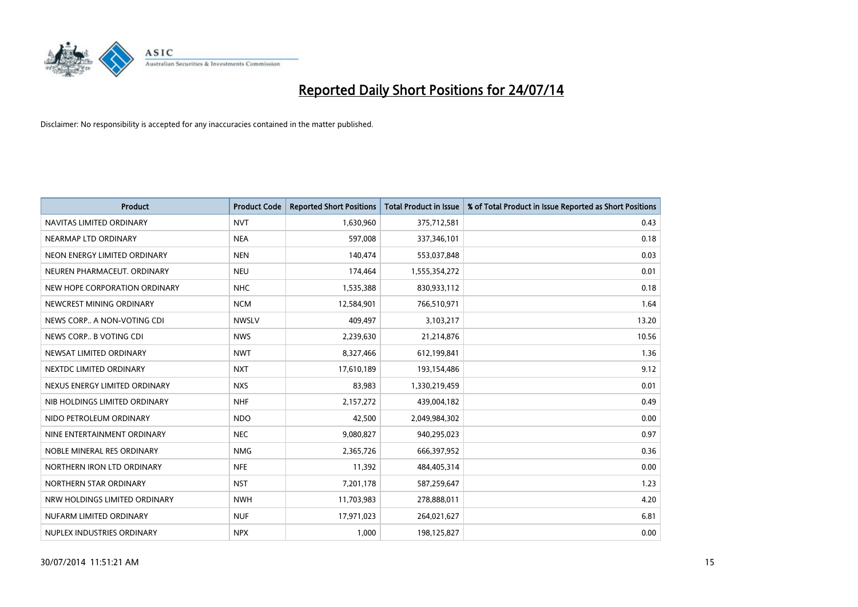

| <b>Product</b>                | <b>Product Code</b> | <b>Reported Short Positions</b> | <b>Total Product in Issue</b> | % of Total Product in Issue Reported as Short Positions |
|-------------------------------|---------------------|---------------------------------|-------------------------------|---------------------------------------------------------|
| NAVITAS LIMITED ORDINARY      | <b>NVT</b>          | 1,630,960                       | 375,712,581                   | 0.43                                                    |
| NEARMAP LTD ORDINARY          | <b>NEA</b>          | 597,008                         | 337,346,101                   | 0.18                                                    |
| NEON ENERGY LIMITED ORDINARY  | <b>NEN</b>          | 140,474                         | 553,037,848                   | 0.03                                                    |
| NEUREN PHARMACEUT. ORDINARY   | <b>NEU</b>          | 174,464                         | 1,555,354,272                 | 0.01                                                    |
| NEW HOPE CORPORATION ORDINARY | <b>NHC</b>          | 1,535,388                       | 830,933,112                   | 0.18                                                    |
| NEWCREST MINING ORDINARY      | <b>NCM</b>          | 12,584,901                      | 766,510,971                   | 1.64                                                    |
| NEWS CORP A NON-VOTING CDI    | <b>NWSLV</b>        | 409,497                         | 3,103,217                     | 13.20                                                   |
| NEWS CORP B VOTING CDI        | <b>NWS</b>          | 2,239,630                       | 21,214,876                    | 10.56                                                   |
| NEWSAT LIMITED ORDINARY       | <b>NWT</b>          | 8,327,466                       | 612,199,841                   | 1.36                                                    |
| NEXTDC LIMITED ORDINARY       | <b>NXT</b>          | 17,610,189                      | 193,154,486                   | 9.12                                                    |
| NEXUS ENERGY LIMITED ORDINARY | <b>NXS</b>          | 83,983                          | 1,330,219,459                 | 0.01                                                    |
| NIB HOLDINGS LIMITED ORDINARY | <b>NHF</b>          | 2,157,272                       | 439,004,182                   | 0.49                                                    |
| NIDO PETROLEUM ORDINARY       | <b>NDO</b>          | 42,500                          | 2,049,984,302                 | 0.00                                                    |
| NINE ENTERTAINMENT ORDINARY   | <b>NEC</b>          | 9,080,827                       | 940,295,023                   | 0.97                                                    |
| NOBLE MINERAL RES ORDINARY    | <b>NMG</b>          | 2,365,726                       | 666,397,952                   | 0.36                                                    |
| NORTHERN IRON LTD ORDINARY    | <b>NFE</b>          | 11,392                          | 484,405,314                   | 0.00                                                    |
| NORTHERN STAR ORDINARY        | <b>NST</b>          | 7,201,178                       | 587,259,647                   | 1.23                                                    |
| NRW HOLDINGS LIMITED ORDINARY | <b>NWH</b>          | 11,703,983                      | 278,888,011                   | 4.20                                                    |
| NUFARM LIMITED ORDINARY       | <b>NUF</b>          | 17,971,023                      | 264,021,627                   | 6.81                                                    |
| NUPLEX INDUSTRIES ORDINARY    | <b>NPX</b>          | 1,000                           | 198,125,827                   | 0.00                                                    |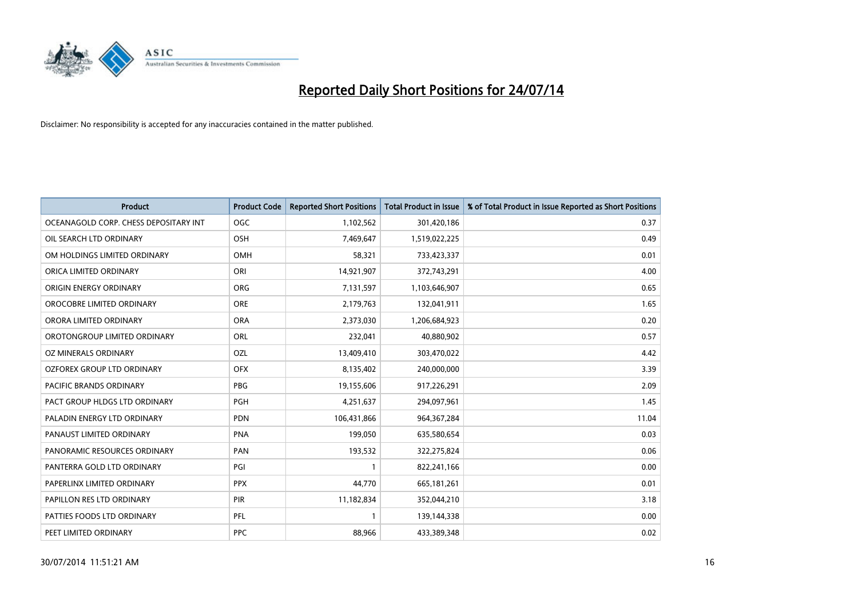

| <b>Product</b>                        | <b>Product Code</b> | <b>Reported Short Positions</b> | <b>Total Product in Issue</b> | % of Total Product in Issue Reported as Short Positions |
|---------------------------------------|---------------------|---------------------------------|-------------------------------|---------------------------------------------------------|
| OCEANAGOLD CORP. CHESS DEPOSITARY INT | <b>OGC</b>          | 1,102,562                       | 301,420,186                   | 0.37                                                    |
| OIL SEARCH LTD ORDINARY               | OSH                 | 7,469,647                       | 1,519,022,225                 | 0.49                                                    |
| OM HOLDINGS LIMITED ORDINARY          | <b>OMH</b>          | 58,321                          | 733,423,337                   | 0.01                                                    |
| ORICA LIMITED ORDINARY                | ORI                 | 14,921,907                      | 372,743,291                   | 4.00                                                    |
| ORIGIN ENERGY ORDINARY                | <b>ORG</b>          | 7,131,597                       | 1,103,646,907                 | 0.65                                                    |
| OROCOBRE LIMITED ORDINARY             | <b>ORE</b>          | 2,179,763                       | 132,041,911                   | 1.65                                                    |
| ORORA LIMITED ORDINARY                | <b>ORA</b>          | 2,373,030                       | 1,206,684,923                 | 0.20                                                    |
| OROTONGROUP LIMITED ORDINARY          | ORL                 | 232,041                         | 40,880,902                    | 0.57                                                    |
| OZ MINERALS ORDINARY                  | OZL                 | 13,409,410                      | 303,470,022                   | 4.42                                                    |
| OZFOREX GROUP LTD ORDINARY            | <b>OFX</b>          | 8,135,402                       | 240,000,000                   | 3.39                                                    |
| PACIFIC BRANDS ORDINARY               | <b>PBG</b>          | 19,155,606                      | 917,226,291                   | 2.09                                                    |
| PACT GROUP HLDGS LTD ORDINARY         | <b>PGH</b>          | 4,251,637                       | 294,097,961                   | 1.45                                                    |
| PALADIN ENERGY LTD ORDINARY           | <b>PDN</b>          | 106,431,866                     | 964, 367, 284                 | 11.04                                                   |
| PANAUST LIMITED ORDINARY              | <b>PNA</b>          | 199,050                         | 635,580,654                   | 0.03                                                    |
| PANORAMIC RESOURCES ORDINARY          | PAN                 | 193,532                         | 322,275,824                   | 0.06                                                    |
| PANTERRA GOLD LTD ORDINARY            | PGI                 |                                 | 822,241,166                   | 0.00                                                    |
| PAPERLINX LIMITED ORDINARY            | <b>PPX</b>          | 44,770                          | 665,181,261                   | 0.01                                                    |
| PAPILLON RES LTD ORDINARY             | PIR                 | 11,182,834                      | 352,044,210                   | 3.18                                                    |
| PATTIES FOODS LTD ORDINARY            | PFL                 | $\mathbf{1}$                    | 139,144,338                   | 0.00                                                    |
| PEET LIMITED ORDINARY                 | <b>PPC</b>          | 88,966                          | 433,389,348                   | 0.02                                                    |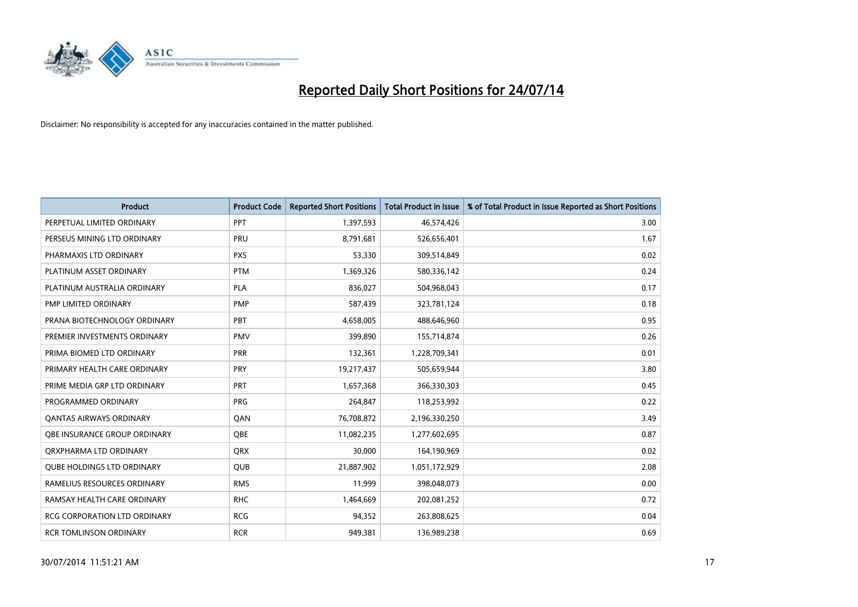

| <b>Product</b>                      | <b>Product Code</b> | <b>Reported Short Positions</b> | <b>Total Product in Issue</b> | % of Total Product in Issue Reported as Short Positions |
|-------------------------------------|---------------------|---------------------------------|-------------------------------|---------------------------------------------------------|
| PERPETUAL LIMITED ORDINARY          | PPT                 | 1,397,593                       | 46,574,426                    | 3.00                                                    |
| PERSEUS MINING LTD ORDINARY         | <b>PRU</b>          | 8,791,681                       | 526,656,401                   | 1.67                                                    |
| PHARMAXIS LTD ORDINARY              | <b>PXS</b>          | 53,330                          | 309,514,849                   | 0.02                                                    |
| PLATINUM ASSET ORDINARY             | <b>PTM</b>          | 1,369,326                       | 580,336,142                   | 0.24                                                    |
| PLATINUM AUSTRALIA ORDINARY         | <b>PLA</b>          | 836,027                         | 504,968,043                   | 0.17                                                    |
| PMP LIMITED ORDINARY                | <b>PMP</b>          | 587,439                         | 323,781,124                   | 0.18                                                    |
| PRANA BIOTECHNOLOGY ORDINARY        | <b>PBT</b>          | 4,658,005                       | 488,646,960                   | 0.95                                                    |
| PREMIER INVESTMENTS ORDINARY        | <b>PMV</b>          | 399,890                         | 155,714,874                   | 0.26                                                    |
| PRIMA BIOMED LTD ORDINARY           | <b>PRR</b>          | 132,361                         | 1,228,709,341                 | 0.01                                                    |
| PRIMARY HEALTH CARE ORDINARY        | <b>PRY</b>          | 19,217,437                      | 505,659,944                   | 3.80                                                    |
| PRIME MEDIA GRP LTD ORDINARY        | PRT                 | 1,657,368                       | 366,330,303                   | 0.45                                                    |
| PROGRAMMED ORDINARY                 | <b>PRG</b>          | 264,847                         | 118,253,992                   | 0.22                                                    |
| <b>QANTAS AIRWAYS ORDINARY</b>      | QAN                 | 76,708,872                      | 2,196,330,250                 | 3.49                                                    |
| OBE INSURANCE GROUP ORDINARY        | <b>OBE</b>          | 11,082,235                      | 1,277,602,695                 | 0.87                                                    |
| ORXPHARMA LTD ORDINARY              | <b>QRX</b>          | 30,000                          | 164,190,969                   | 0.02                                                    |
| <b>QUBE HOLDINGS LTD ORDINARY</b>   | <b>QUB</b>          | 21,887,902                      | 1,051,172,929                 | 2.08                                                    |
| RAMELIUS RESOURCES ORDINARY         | <b>RMS</b>          | 11,999                          | 398,048,073                   | 0.00                                                    |
| RAMSAY HEALTH CARE ORDINARY         | <b>RHC</b>          | 1,464,669                       | 202,081,252                   | 0.72                                                    |
| <b>RCG CORPORATION LTD ORDINARY</b> | <b>RCG</b>          | 94,352                          | 263,808,625                   | 0.04                                                    |
| <b>RCR TOMLINSON ORDINARY</b>       | <b>RCR</b>          | 949,381                         | 136,989,238                   | 0.69                                                    |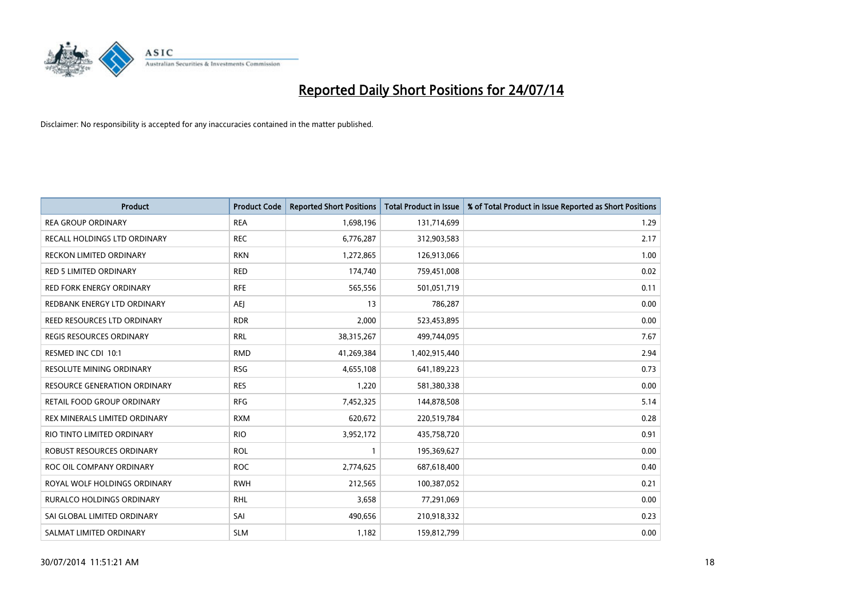

| <b>Product</b>                      | <b>Product Code</b> | <b>Reported Short Positions</b> | <b>Total Product in Issue</b> | % of Total Product in Issue Reported as Short Positions |
|-------------------------------------|---------------------|---------------------------------|-------------------------------|---------------------------------------------------------|
| <b>REA GROUP ORDINARY</b>           | <b>REA</b>          | 1,698,196                       | 131,714,699                   | 1.29                                                    |
| RECALL HOLDINGS LTD ORDINARY        | <b>REC</b>          | 6,776,287                       | 312,903,583                   | 2.17                                                    |
| <b>RECKON LIMITED ORDINARY</b>      | <b>RKN</b>          | 1,272,865                       | 126,913,066                   | 1.00                                                    |
| <b>RED 5 LIMITED ORDINARY</b>       | <b>RED</b>          | 174,740                         | 759,451,008                   | 0.02                                                    |
| <b>RED FORK ENERGY ORDINARY</b>     | <b>RFE</b>          | 565,556                         | 501,051,719                   | 0.11                                                    |
| REDBANK ENERGY LTD ORDINARY         | <b>AEJ</b>          | 13                              | 786,287                       | 0.00                                                    |
| REED RESOURCES LTD ORDINARY         | <b>RDR</b>          | 2,000                           | 523,453,895                   | 0.00                                                    |
| <b>REGIS RESOURCES ORDINARY</b>     | <b>RRL</b>          | 38,315,267                      | 499,744,095                   | 7.67                                                    |
| RESMED INC CDI 10:1                 | <b>RMD</b>          | 41,269,384                      | 1,402,915,440                 | 2.94                                                    |
| <b>RESOLUTE MINING ORDINARY</b>     | <b>RSG</b>          | 4,655,108                       | 641,189,223                   | 0.73                                                    |
| <b>RESOURCE GENERATION ORDINARY</b> | <b>RES</b>          | 1,220                           | 581,380,338                   | 0.00                                                    |
| RETAIL FOOD GROUP ORDINARY          | <b>RFG</b>          | 7,452,325                       | 144,878,508                   | 5.14                                                    |
| REX MINERALS LIMITED ORDINARY       | <b>RXM</b>          | 620,672                         | 220,519,784                   | 0.28                                                    |
| RIO TINTO LIMITED ORDINARY          | <b>RIO</b>          | 3,952,172                       | 435,758,720                   | 0.91                                                    |
| ROBUST RESOURCES ORDINARY           | <b>ROL</b>          | 1                               | 195,369,627                   | 0.00                                                    |
| ROC OIL COMPANY ORDINARY            | <b>ROC</b>          | 2,774,625                       | 687,618,400                   | 0.40                                                    |
| ROYAL WOLF HOLDINGS ORDINARY        | <b>RWH</b>          | 212,565                         | 100,387,052                   | 0.21                                                    |
| <b>RURALCO HOLDINGS ORDINARY</b>    | <b>RHL</b>          | 3,658                           | 77,291,069                    | 0.00                                                    |
| SAI GLOBAL LIMITED ORDINARY         | SAI                 | 490,656                         | 210,918,332                   | 0.23                                                    |
| SALMAT LIMITED ORDINARY             | <b>SLM</b>          | 1,182                           | 159,812,799                   | 0.00                                                    |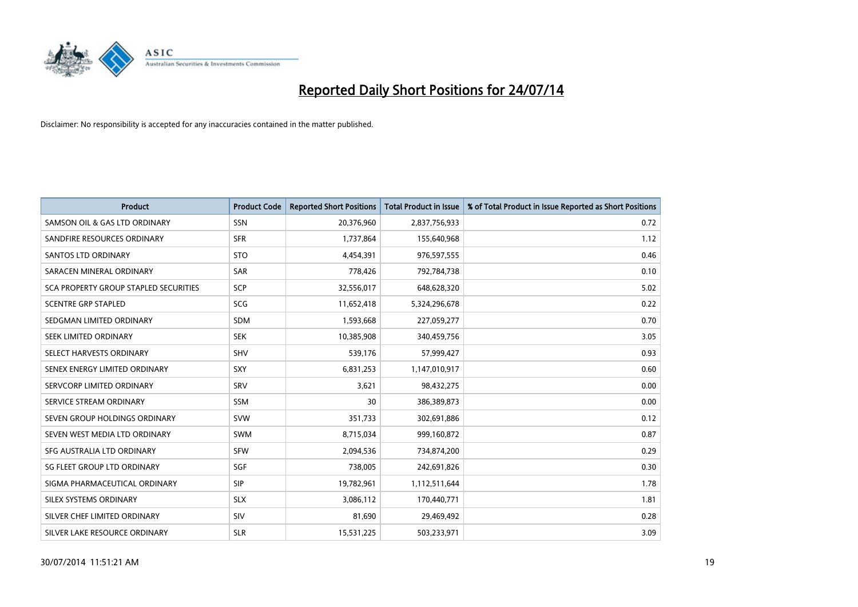

| <b>Product</b>                        | <b>Product Code</b> | <b>Reported Short Positions</b> | <b>Total Product in Issue</b> | % of Total Product in Issue Reported as Short Positions |
|---------------------------------------|---------------------|---------------------------------|-------------------------------|---------------------------------------------------------|
| SAMSON OIL & GAS LTD ORDINARY         | <b>SSN</b>          | 20,376,960                      | 2,837,756,933                 | 0.72                                                    |
| SANDFIRE RESOURCES ORDINARY           | <b>SFR</b>          | 1,737,864                       | 155,640,968                   | 1.12                                                    |
| SANTOS LTD ORDINARY                   | <b>STO</b>          | 4,454,391                       | 976,597,555                   | 0.46                                                    |
| SARACEN MINERAL ORDINARY              | <b>SAR</b>          | 778,426                         | 792,784,738                   | 0.10                                                    |
| SCA PROPERTY GROUP STAPLED SECURITIES | <b>SCP</b>          | 32,556,017                      | 648,628,320                   | 5.02                                                    |
| <b>SCENTRE GRP STAPLED</b>            | SCG                 | 11,652,418                      | 5,324,296,678                 | 0.22                                                    |
| SEDGMAN LIMITED ORDINARY              | <b>SDM</b>          | 1,593,668                       | 227,059,277                   | 0.70                                                    |
| SEEK LIMITED ORDINARY                 | <b>SEK</b>          | 10,385,908                      | 340,459,756                   | 3.05                                                    |
| SELECT HARVESTS ORDINARY              | SHV                 | 539,176                         | 57,999,427                    | 0.93                                                    |
| SENEX ENERGY LIMITED ORDINARY         | <b>SXY</b>          | 6,831,253                       | 1,147,010,917                 | 0.60                                                    |
| SERVCORP LIMITED ORDINARY             | SRV                 | 3,621                           | 98,432,275                    | 0.00                                                    |
| SERVICE STREAM ORDINARY               | SSM                 | 30                              | 386,389,873                   | 0.00                                                    |
| SEVEN GROUP HOLDINGS ORDINARY         | <b>SVW</b>          | 351,733                         | 302,691,886                   | 0.12                                                    |
| SEVEN WEST MEDIA LTD ORDINARY         | <b>SWM</b>          | 8,715,034                       | 999,160,872                   | 0.87                                                    |
| SFG AUSTRALIA LTD ORDINARY            | <b>SFW</b>          | 2,094,536                       | 734,874,200                   | 0.29                                                    |
| SG FLEET GROUP LTD ORDINARY           | SGF                 | 738,005                         | 242,691,826                   | 0.30                                                    |
| SIGMA PHARMACEUTICAL ORDINARY         | <b>SIP</b>          | 19,782,961                      | 1,112,511,644                 | 1.78                                                    |
| SILEX SYSTEMS ORDINARY                | <b>SLX</b>          | 3,086,112                       | 170,440,771                   | 1.81                                                    |
| SILVER CHEF LIMITED ORDINARY          | <b>SIV</b>          | 81,690                          | 29,469,492                    | 0.28                                                    |
| SILVER LAKE RESOURCE ORDINARY         | <b>SLR</b>          | 15,531,225                      | 503,233,971                   | 3.09                                                    |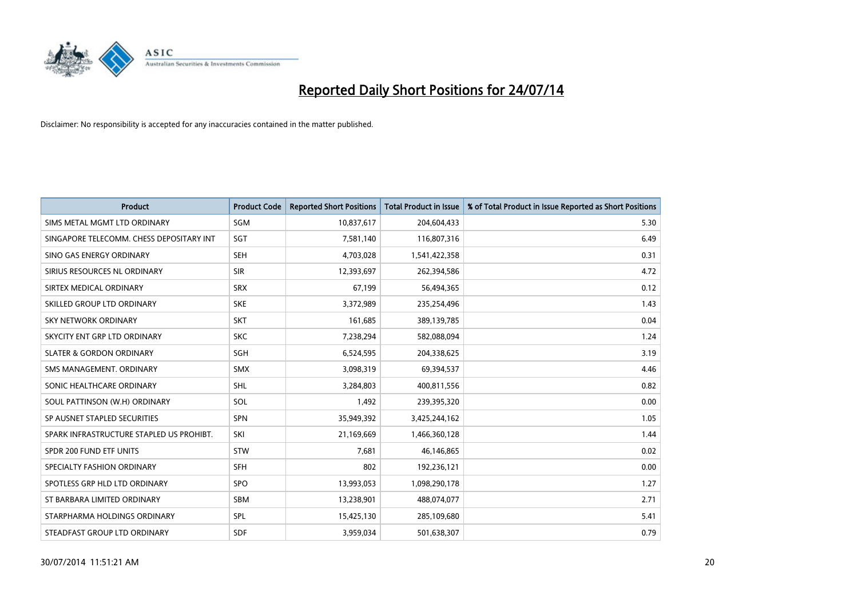

| <b>Product</b>                           | <b>Product Code</b> | <b>Reported Short Positions</b> | <b>Total Product in Issue</b> | % of Total Product in Issue Reported as Short Positions |
|------------------------------------------|---------------------|---------------------------------|-------------------------------|---------------------------------------------------------|
| SIMS METAL MGMT LTD ORDINARY             | <b>SGM</b>          | 10,837,617                      | 204,604,433                   | 5.30                                                    |
| SINGAPORE TELECOMM. CHESS DEPOSITARY INT | <b>SGT</b>          | 7,581,140                       | 116,807,316                   | 6.49                                                    |
| SINO GAS ENERGY ORDINARY                 | <b>SEH</b>          | 4,703,028                       | 1,541,422,358                 | 0.31                                                    |
| SIRIUS RESOURCES NL ORDINARY             | <b>SIR</b>          | 12,393,697                      | 262,394,586                   | 4.72                                                    |
| SIRTEX MEDICAL ORDINARY                  | <b>SRX</b>          | 67,199                          | 56,494,365                    | 0.12                                                    |
| SKILLED GROUP LTD ORDINARY               | <b>SKE</b>          | 3,372,989                       | 235,254,496                   | 1.43                                                    |
| SKY NETWORK ORDINARY                     | <b>SKT</b>          | 161,685                         | 389,139,785                   | 0.04                                                    |
| SKYCITY ENT GRP LTD ORDINARY             | <b>SKC</b>          | 7,238,294                       | 582,088,094                   | 1.24                                                    |
| <b>SLATER &amp; GORDON ORDINARY</b>      | <b>SGH</b>          | 6,524,595                       | 204,338,625                   | 3.19                                                    |
| SMS MANAGEMENT, ORDINARY                 | <b>SMX</b>          | 3,098,319                       | 69,394,537                    | 4.46                                                    |
| SONIC HEALTHCARE ORDINARY                | <b>SHL</b>          | 3,284,803                       | 400,811,556                   | 0.82                                                    |
| SOUL PATTINSON (W.H) ORDINARY            | SOL                 | 1,492                           | 239,395,320                   | 0.00                                                    |
| SP AUSNET STAPLED SECURITIES             | <b>SPN</b>          | 35,949,392                      | 3,425,244,162                 | 1.05                                                    |
| SPARK INFRASTRUCTURE STAPLED US PROHIBT. | SKI                 | 21,169,669                      | 1,466,360,128                 | 1.44                                                    |
| SPDR 200 FUND ETF UNITS                  | <b>STW</b>          | 7,681                           | 46,146,865                    | 0.02                                                    |
| SPECIALTY FASHION ORDINARY               | <b>SFH</b>          | 802                             | 192,236,121                   | 0.00                                                    |
| SPOTLESS GRP HLD LTD ORDINARY            | SPO                 | 13,993,053                      | 1,098,290,178                 | 1.27                                                    |
| ST BARBARA LIMITED ORDINARY              | <b>SBM</b>          | 13,238,901                      | 488,074,077                   | 2.71                                                    |
| STARPHARMA HOLDINGS ORDINARY             | SPL                 | 15,425,130                      | 285,109,680                   | 5.41                                                    |
| STEADFAST GROUP LTD ORDINARY             | <b>SDF</b>          | 3,959,034                       | 501,638,307                   | 0.79                                                    |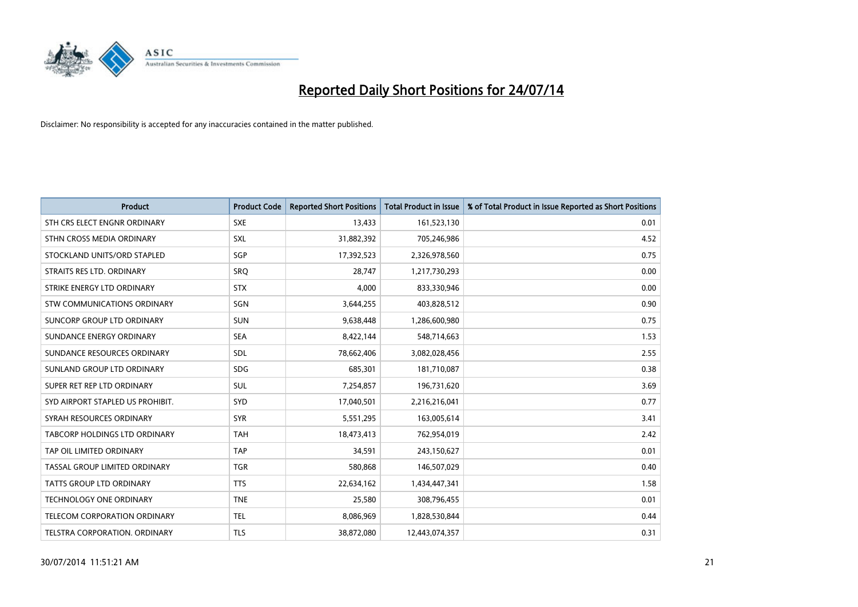

| <b>Product</b>                   | <b>Product Code</b> | <b>Reported Short Positions</b> | <b>Total Product in Issue</b> | % of Total Product in Issue Reported as Short Positions |
|----------------------------------|---------------------|---------------------------------|-------------------------------|---------------------------------------------------------|
| STH CRS ELECT ENGNR ORDINARY     | <b>SXE</b>          | 13,433                          | 161,523,130                   | 0.01                                                    |
| STHN CROSS MEDIA ORDINARY        | <b>SXL</b>          | 31,882,392                      | 705,246,986                   | 4.52                                                    |
| STOCKLAND UNITS/ORD STAPLED      | SGP                 | 17,392,523                      | 2,326,978,560                 | 0.75                                                    |
| STRAITS RES LTD. ORDINARY        | SRO                 | 28,747                          | 1,217,730,293                 | 0.00                                                    |
| STRIKE ENERGY LTD ORDINARY       | <b>STX</b>          | 4,000                           | 833,330,946                   | 0.00                                                    |
| STW COMMUNICATIONS ORDINARY      | SGN                 | 3,644,255                       | 403,828,512                   | 0.90                                                    |
| SUNCORP GROUP LTD ORDINARY       | <b>SUN</b>          | 9,638,448                       | 1,286,600,980                 | 0.75                                                    |
| SUNDANCE ENERGY ORDINARY         | <b>SEA</b>          | 8,422,144                       | 548,714,663                   | 1.53                                                    |
| SUNDANCE RESOURCES ORDINARY      | SDL                 | 78,662,406                      | 3,082,028,456                 | 2.55                                                    |
| SUNLAND GROUP LTD ORDINARY       | <b>SDG</b>          | 685,301                         | 181,710,087                   | 0.38                                                    |
| SUPER RET REP LTD ORDINARY       | <b>SUL</b>          | 7,254,857                       | 196,731,620                   | 3.69                                                    |
| SYD AIRPORT STAPLED US PROHIBIT. | <b>SYD</b>          | 17,040,501                      | 2,216,216,041                 | 0.77                                                    |
| SYRAH RESOURCES ORDINARY         | <b>SYR</b>          | 5,551,295                       | 163,005,614                   | 3.41                                                    |
| TABCORP HOLDINGS LTD ORDINARY    | <b>TAH</b>          | 18,473,413                      | 762,954,019                   | 2.42                                                    |
| TAP OIL LIMITED ORDINARY         | <b>TAP</b>          | 34,591                          | 243,150,627                   | 0.01                                                    |
| TASSAL GROUP LIMITED ORDINARY    | <b>TGR</b>          | 580,868                         | 146,507,029                   | 0.40                                                    |
| TATTS GROUP LTD ORDINARY         | <b>TTS</b>          | 22,634,162                      | 1,434,447,341                 | 1.58                                                    |
| <b>TECHNOLOGY ONE ORDINARY</b>   | <b>TNE</b>          | 25,580                          | 308,796,455                   | 0.01                                                    |
| TELECOM CORPORATION ORDINARY     | <b>TEL</b>          | 8,086,969                       | 1,828,530,844                 | 0.44                                                    |
| TELSTRA CORPORATION, ORDINARY    | TLS                 | 38,872,080                      | 12,443,074,357                | 0.31                                                    |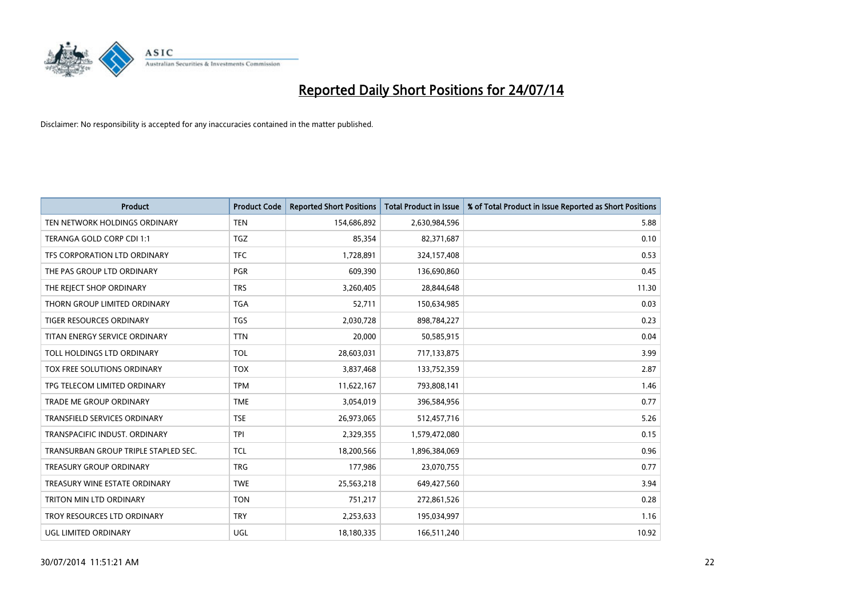

| <b>Product</b>                       | <b>Product Code</b> | <b>Reported Short Positions</b> | <b>Total Product in Issue</b> | % of Total Product in Issue Reported as Short Positions |
|--------------------------------------|---------------------|---------------------------------|-------------------------------|---------------------------------------------------------|
| TEN NETWORK HOLDINGS ORDINARY        | <b>TEN</b>          | 154,686,892                     | 2,630,984,596                 | 5.88                                                    |
| TERANGA GOLD CORP CDI 1:1            | <b>TGZ</b>          | 85,354                          | 82,371,687                    | 0.10                                                    |
| TFS CORPORATION LTD ORDINARY         | <b>TFC</b>          | 1,728,891                       | 324,157,408                   | 0.53                                                    |
| THE PAS GROUP LTD ORDINARY           | <b>PGR</b>          | 609,390                         | 136,690,860                   | 0.45                                                    |
| THE REJECT SHOP ORDINARY             | <b>TRS</b>          | 3,260,405                       | 28,844,648                    | 11.30                                                   |
| THORN GROUP LIMITED ORDINARY         | <b>TGA</b>          | 52,711                          | 150,634,985                   | 0.03                                                    |
| TIGER RESOURCES ORDINARY             | TGS                 | 2,030,728                       | 898,784,227                   | 0.23                                                    |
| TITAN ENERGY SERVICE ORDINARY        | <b>TTN</b>          | 20,000                          | 50,585,915                    | 0.04                                                    |
| TOLL HOLDINGS LTD ORDINARY           | <b>TOL</b>          | 28,603,031                      | 717,133,875                   | 3.99                                                    |
| TOX FREE SOLUTIONS ORDINARY          | <b>TOX</b>          | 3,837,468                       | 133,752,359                   | 2.87                                                    |
| TPG TELECOM LIMITED ORDINARY         | <b>TPM</b>          | 11,622,167                      | 793,808,141                   | 1.46                                                    |
| <b>TRADE ME GROUP ORDINARY</b>       | <b>TME</b>          | 3,054,019                       | 396,584,956                   | 0.77                                                    |
| <b>TRANSFIELD SERVICES ORDINARY</b>  | <b>TSE</b>          | 26,973,065                      | 512,457,716                   | 5.26                                                    |
| TRANSPACIFIC INDUST, ORDINARY        | <b>TPI</b>          | 2,329,355                       | 1,579,472,080                 | 0.15                                                    |
| TRANSURBAN GROUP TRIPLE STAPLED SEC. | TCL                 | 18,200,566                      | 1,896,384,069                 | 0.96                                                    |
| <b>TREASURY GROUP ORDINARY</b>       | <b>TRG</b>          | 177,986                         | 23,070,755                    | 0.77                                                    |
| TREASURY WINE ESTATE ORDINARY        | <b>TWE</b>          | 25,563,218                      | 649,427,560                   | 3.94                                                    |
| TRITON MIN LTD ORDINARY              | <b>TON</b>          | 751,217                         | 272,861,526                   | 0.28                                                    |
| TROY RESOURCES LTD ORDINARY          | <b>TRY</b>          | 2,253,633                       | 195,034,997                   | 1.16                                                    |
| UGL LIMITED ORDINARY                 | UGL                 | 18,180,335                      | 166,511,240                   | 10.92                                                   |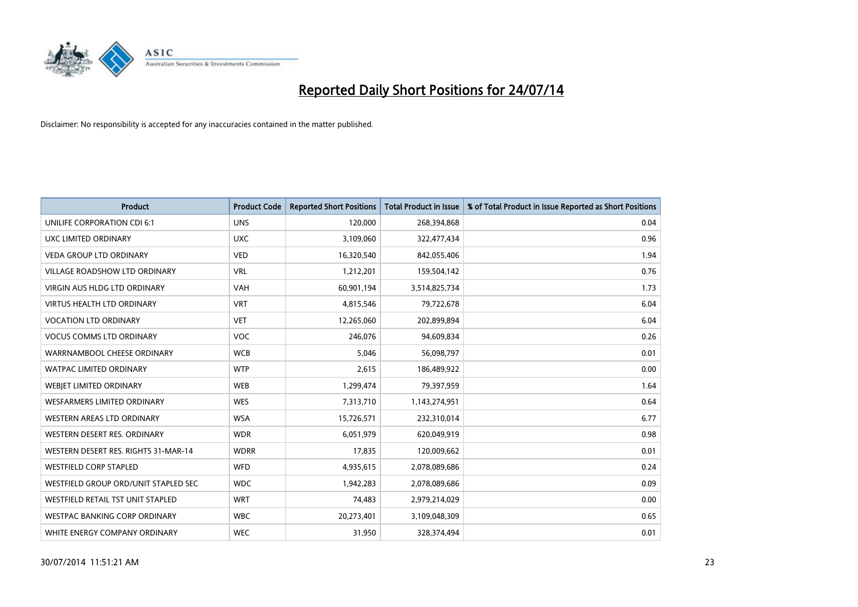

| Product                              | <b>Product Code</b> | <b>Reported Short Positions</b> | <b>Total Product in Issue</b> | % of Total Product in Issue Reported as Short Positions |
|--------------------------------------|---------------------|---------------------------------|-------------------------------|---------------------------------------------------------|
| UNILIFE CORPORATION CDI 6:1          | <b>UNS</b>          | 120,000                         | 268,394,868                   | 0.04                                                    |
| UXC LIMITED ORDINARY                 | <b>UXC</b>          | 3,109,060                       | 322,477,434                   | 0.96                                                    |
| <b>VEDA GROUP LTD ORDINARY</b>       | <b>VED</b>          | 16,320,540                      | 842,055,406                   | 1.94                                                    |
| <b>VILLAGE ROADSHOW LTD ORDINARY</b> | <b>VRL</b>          | 1,212,201                       | 159,504,142                   | 0.76                                                    |
| <b>VIRGIN AUS HLDG LTD ORDINARY</b>  | <b>VAH</b>          | 60,901,194                      | 3,514,825,734                 | 1.73                                                    |
| <b>VIRTUS HEALTH LTD ORDINARY</b>    | <b>VRT</b>          | 4,815,546                       | 79,722,678                    | 6.04                                                    |
| <b>VOCATION LTD ORDINARY</b>         | <b>VET</b>          | 12,265,060                      | 202,899,894                   | 6.04                                                    |
| <b>VOCUS COMMS LTD ORDINARY</b>      | <b>VOC</b>          | 246,076                         | 94,609,834                    | 0.26                                                    |
| WARRNAMBOOL CHEESE ORDINARY          | <b>WCB</b>          | 5,046                           | 56,098,797                    | 0.01                                                    |
| <b>WATPAC LIMITED ORDINARY</b>       | <b>WTP</b>          | 2,615                           | 186,489,922                   | 0.00                                                    |
| <b>WEBIET LIMITED ORDINARY</b>       | <b>WEB</b>          | 1,299,474                       | 79,397,959                    | 1.64                                                    |
| <b>WESFARMERS LIMITED ORDINARY</b>   | <b>WES</b>          | 7,313,710                       | 1,143,274,951                 | 0.64                                                    |
| WESTERN AREAS LTD ORDINARY           | <b>WSA</b>          | 15,726,571                      | 232,310,014                   | 6.77                                                    |
| WESTERN DESERT RES. ORDINARY         | <b>WDR</b>          | 6,051,979                       | 620,049,919                   | 0.98                                                    |
| WESTERN DESERT RES. RIGHTS 31-MAR-14 | <b>WDRR</b>         | 17,835                          | 120,009,662                   | 0.01                                                    |
| <b>WESTFIELD CORP STAPLED</b>        | WFD                 | 4,935,615                       | 2,078,089,686                 | 0.24                                                    |
| WESTFIELD GROUP ORD/UNIT STAPLED SEC | <b>WDC</b>          | 1,942,283                       | 2,078,089,686                 | 0.09                                                    |
| WESTFIELD RETAIL TST UNIT STAPLED    | <b>WRT</b>          | 74,483                          | 2,979,214,029                 | 0.00                                                    |
| <b>WESTPAC BANKING CORP ORDINARY</b> | <b>WBC</b>          | 20,273,401                      | 3,109,048,309                 | 0.65                                                    |
| WHITE ENERGY COMPANY ORDINARY        | <b>WEC</b>          | 31,950                          | 328,374,494                   | 0.01                                                    |